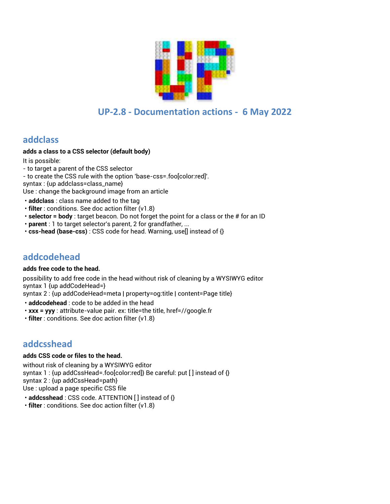

# **UP-2.8 - Documentation actions - 6 May 2022**

## **addclass**

### **adds a class to a CSS selector (default body)**

It is possible:

- to target a parent of the CSS selector - to create the CSS rule with the option 'base-css=.foo[color:red]'. syntax : {up addclass=class\_name} Use : change the background image from an article

- **addclass** : class name added to the tag
- **filter** : conditions. See doc action filter (v1.8)
- **selector = body** : target beacon. Do not forget the point for a class or the # for an ID
- **parent** : 1 to target selector's parent, 2 for grandfather, ...
- **css-head (base-css)** : CSS code for head. Warning, use[] instead of {}

# **addcodehead**

#### **adds free code to the head.**

possibility to add free code in the head without risk of cleaning by a WYSIWYG editor syntax 1 {up addCodeHead=}

syntax 2 : {up addCodeHead=meta | property=og:title | content=Page title}

- **addcodehead** : code to be added in the head
- **xxx = yyy** : attribute-value pair. ex: title=the title, href=//google.fr
- **filter** : conditions. See doc action filter (v1.8)

# **addcsshead**

### **adds CSS code or files to the head.**

without risk of cleaning by a WYSIWYG editor syntax 1 : {up addCssHead=.foo[color:red]} Be careful: put [ ] instead of {} syntax 2 : {up addCssHead=path} Use : upload a page specific CSS file

• **addcsshead** : CSS code. ATTENTION [ ] instead of {}

• **filter** : conditions. See doc action filter (v1.8)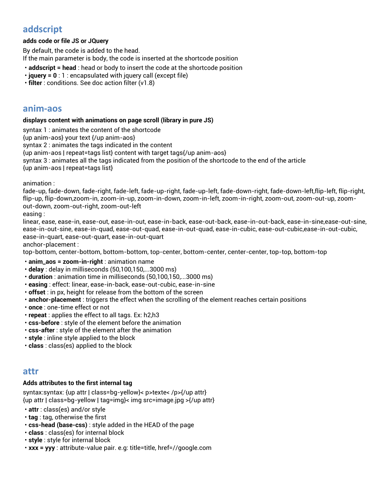# **addscript**

### **adds code or file JS or JQuery**

By default, the code is added to the head. If the main parameter is body, the code is inserted at the shortcode position

- **addscript = head** : head or body to insert the code at the shortcode position
- **jquery = 0** : 1 : encapsulated with jquery call (except file)

• **filter** : conditions. See doc action filter (v1.8)

## **anim-aos**

#### **displays content with animations on page scroll (library in pure JS)**

syntax 1 : animates the content of the shortcode

{up anim-aos} your text {/up anim-aos}

syntax 2 : animates the tags indicated in the content

{up anim-aos | repeat=tags list} content with target tags{/up anim-aos}

syntax 3 : animates all the tags indicated from the position of the shortcode to the end of the article

{up anim-aos | repeat=tags list}

animation :

fade-up, fade-down, fade-right, fade-left, fade-up-right, fade-up-left, fade-down-right, fade-down-left,flip-left, flip-right, flip-up, flip-down,zoom-in, zoom-in-up, zoom-in-down, zoom-in-left, zoom-in-right, zoom-out, zoom-out-up, zoomout-down, zoom-out-right, zoom-out-left

easing :

linear, ease, ease-in, ease-out, ease-in-out, ease-in-back, ease-out-back, ease-in-out-back, ease-in-sine,ease-out-sine, ease-in-out-sine, ease-in-quad, ease-out-quad, ease-in-out-quad, ease-in-cubic, ease-out-cubic,ease-in-out-cubic, ease-in-quart, ease-out-quart, ease-in-out-quart

anchor-placement :

top-bottom, center-bottom, bottom-bottom, top-center, bottom-center, center-center, top-top, bottom-top

• **anim\_aos = zoom-in-right** : animation name

- **delay** : delay in milliseconds (50,100,150,...3000 ms)
- **duration** : animation time in milliseconds (50,100,150,...3000 ms)
- **easing** : effect: linear, ease-in-back, ease-out-cubic, ease-in-sine
- **offset** : in px, height for release from the bottom of the screen
- **anchor-placement** : triggers the effect when the scrolling of the element reaches certain positions
- **once** : one-time effect or not
- **repeat** : applies the effect to all tags. Ex: h2,h3
- **css-before** : style of the element before the animation
- **css-after** : style of the element after the animation
- **style** : inline style applied to the block
- **class** : class(es) applied to the block

### **attr**

#### **Adds attributes to the first internal tag**

syntax:syntax: {up attr | class=bg-yellow}< p>texte< /p>{/up attr} {up attr | class=bg-yellow | tag=img}< img src=image.jpg >{/up attr}

- **attr** : class(es) and/or style
- **tag** : tag, otherwise the first
- **css-head (base-css)** : style added in the HEAD of the page
- **class** : class(es) for internal block
- **style** : style for internal block
- **xxx = yyy** : attribute-value pair. e.g: title=title, href=//google.com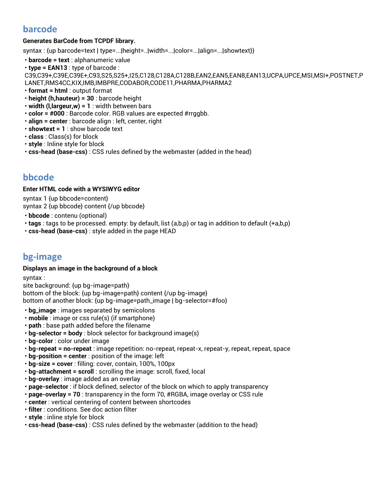# **barcode**

### **Generates BarCode from TCPDF library.**

syntax : {up barcode=text | type=...|height=..|width=...|color=...|align=...|showtext}}

- **barcode = text** : alphanumeric value
- **type = EAN13** : type of barcode :

C39,C39+,C39E,C39E+,C93,S25,S25+,I25,C128,C128A,C128B,EAN2,EAN5,EAN8,EAN13,UCPA,UPCE,MSI,MSI+,POSTNET,P LANET,RMS4CC,KIX,IMB,IMBPRE,CODABOR,CODE11,PHARMA,PHARMA2

- **format = html** : output format
- **height (h,hauteur) = 30** : barcode height
- **width (l,largeur,w) = 1** : width between bars
- **color = #000** : Barcode color. RGB values are expected #rrggbb.
- **align = center** : barcode align : left, center, right
- **showtext = 1** : show barcode text
- **class** : Class(s) for block
- **style** : Inline style for block
- **css-head (base-css)** : CSS rules defined by the webmaster (added in the head)

# **bbcode**

### **Enter HTML code with a WYSIWYG editor**

syntax 1 {up bbcode=content} syntax 2 {up bbcode} content {/up bbcode}

- **bbcode** : contenu (optional)
- **tags** : tags to be processed. empty: by default, list (a,b,p) or tag in addition to default (+a,b,p)
- **css-head (base-css)** : style added in the page HEAD

# **bg-image**

### **Displays an image in the background of a block**

syntax :

site background: {up bg-image=path}

bottom of the block: {up bg-image=path} content {/up bg-image}

bottom of another block: {up bg-image=path\_image | bg-selector=#foo}

- **bg\_image** : images separated by semicolons
- **mobile** : image or css rule(s) (if smartphone)
- **path** : base path added before the filename
- **bg-selector = body** : block selector for background image(s)
- **bg-color** : color under image
- **bg-repeat = no-repeat** : image repetition: no-repeat, repeat-x, repeat-y, repeat, repeat, space
- **bg-position = center** : position of the image: left
- **bg-size = cover** : filling: cover, contain, 100%, 100px
- **bg-attachment = scroll** : scrolling the image: scroll, fixed, local
- **bg-overlay** : image added as an overlay
- **page-selector** : if block defined, selector of the block on which to apply transparency
- **page-overlay = 70** : transparency in the form 70, #RGBA, image overlay or CSS rule
- **center** : vertical centering of content between shortcodes
- **filter** : conditions. See doc action filter
- **style** : inline style for block
- **css-head (base-css)** : CSS rules defined by the webmaster (addition to the head)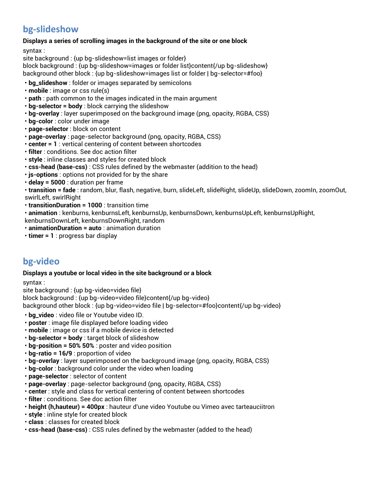# **bg-slideshow**

### **Displays a series of scrolling images in the background of the site or one block**

syntax :

site background : {up bg-slideshow=list images or folder}

block background : {up bg-slideshow=images or folder list}content{/up bg-slideshow} background other block : {up bg-slideshow=images list or folder | bg-selector=#foo}

- **bg\_slideshow** : folder or images separated by semicolons
- **mobile** : image or css rule(s)
- **path** : path common to the images indicated in the main argument
- **bg-selector = body** : block carrying the slideshow
- **bg-overlay** : layer superimposed on the background image (png, opacity, RGBA, CSS)
- **bg-color** : color under image
- **page-selector** : block on content
- **page-overlay** : page-selector background (png, opacity, RGBA, CSS)
- **center = 1** : vertical centering of content between shortcodes
- **filter** : conditions. See doc action filter
- **style** : inline classes and styles for created block
- **css-head (base-css)** : CSS rules defined by the webmaster (addition to the head)
- **js-options** : options not provided for by the share
- **delay = 5000** : duration per frame

• **transition = fade** : random, blur, flash, negative, burn, slideLeft, slideRight, slideUp, slideDown, zoomIn, zoomOut, swirlLeft, swirlRight

- **transitionDuration = 1000** : transition time
- **animation** : kenburns, kenburnsLeft, kenburnsUp, kenburnsDown, kenburnsUpLeft, kenburnsUpRight,
- kenburnsDownLeft, kenburnsDownRight, random
- **animationDuration = auto** : animation duration
- **timer = 1** : progress bar display

# **bg-video**

### **Displays a youtube or local video in the site background or a block**

syntax :

site background : {up bg-video=video file}

block background : {up bg-video=video file}content{/up bg-video}

background other block : {up bg-video=video file | bg-selector=#foo}content{/up bg-video}

- **bg\_video** : video file or Youtube video ID.
- **poster** : image file displayed before loading video
- **mobile** : image or css if a mobile device is detected
- **bg-selector = body** : target block of slideshow
- **bg-position = 50% 50%** : poster and video position
- **bg-ratio = 16/9** : proportion of video
- **bg-overlay** : layer superimposed on the background image (png, opacity, RGBA, CSS)
- **bg-color** : background color under the video when loading
- **page-selector** : selector of content
- **page-overlay** : page-selector background (png, opacity, RGBA, CSS)
- **center** : style and class for vertical centering of content between shortcodes
- **filter** : conditions. See doc action filter
- **height (h,hauteur) = 400px** : hauteur d'une video Youtube ou Vimeo avec tarteauciitron
- **style** : inline style for created block
- **class** : classes for created block
- **css-head (base-css)** : CSS rules defined by the webmaster (added to the head)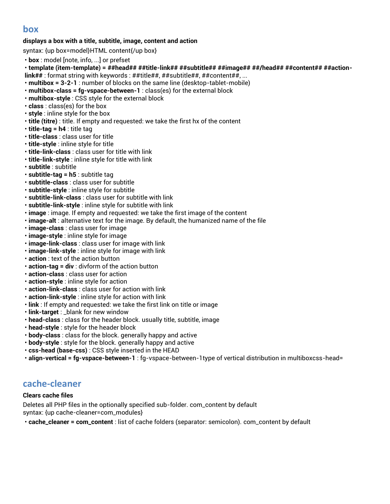# **box**

### **displays a box with a title, subtitle, image, content and action**

syntax: {up box=model}HTML content{/up box}

- **box** : model [note, info, ...] or prefset
- **template (item-template) = ##head## ##title-link## ##subtitle## ##image## ##/head## ##content## ##action-**
- **link##** : format string with keywords : ##title##, ##subtitle##, ##content##, ...
- **multibox = 3-2-1** : number of blocks on the same line (desktop-tablet-mobile)
- **multibox-class = fg-vspace-between-1** : class(es) for the external block
- **multibox-style** : CSS style for the external block
- **class** : class(es) for the box
- **style** : inline style for the box
- **title (titre)** : title. If empty and requested: we take the first hx of the content
- **title-tag = h4** : title tag
- **title-class** : class user for title
- **title-style** : inline style for title
- **title-link-class** : class user for title with link
- **title-link-style** : inline style for title with link
- **subtitle** : subtitle
- **subtitle-tag = h5** : subtitle tag
- **subtitle-class** : class user for subtitle
- **subtitle-style** : inline style for subtitle
- **subtitle-link-class** : class user for subtitle with link
- **subtitle-link-style** : inline style for subtitle with link
- **image** : image. If empty and requested: we take the first image of the content
- **image-alt** : alternative text for the image. By default, the humanized name of the file
- **image-class** : class user for image
- **image-style** : inline style for image
- **image-link-class** : class user for image with link
- **image-link-style** : inline style for image with link
- **action** : text of the action button
- **action-tag = div** : divform of the action button
- **action-class** : class user for action
- **action-style** : inline style for action
- **action-link-class** : class user for action with link
- **action-link-style** : inline style for action with link
- **link** : If empty and requested: we take the first link on title or image
- **link-target** : \_blank for new window
- **head-class** : class for the header block. usually title, subtitle, image
- **head-style** : style for the header block
- **body-class** : class for the block. generally happy and active
- **body-style** : style for the block. generally happy and active
- **css-head (base-css)** : CSS style inserted in the HEAD
- **align-vertical = fg-vspace-between-1** : fg-vspace-between-1type of vertical distribution in multiboxcss-head=

# **cache-cleaner**

### **Clears cache files**

Deletes all PHP files in the optionally specified sub-folder. com\_content by default syntax: {up cache-cleaner=com\_modules}

• **cache\_cleaner = com\_content** : list of cache folders (separator: semicolon). com\_content by default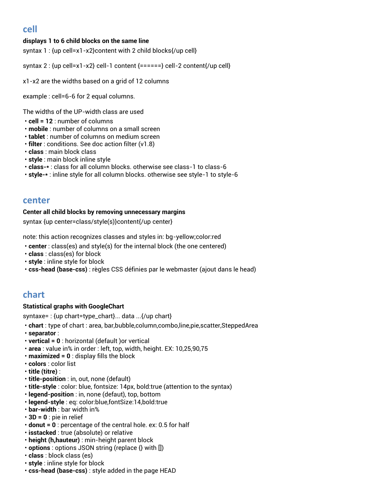# **cell**

### **displays 1 to 6 child blocks on the same line**

syntax 1 : {up cell=x1-x2}content with 2 child blocks{/up cell}

syntax 2 : {up cell=x1-x2} cell-1 content {======} cell-2 content{/up cell}

x1-x2 are the widths based on a grid of 12 columns

example : cell=6-6 for 2 equal columns.

The widths of the UP-width class are used

- **cell = 12** : number of columns
- **mobile** : number of columns on a small screen
- **tablet** : number of columns on medium screen
- **filter** : conditions. See doc action filter (v1.8)
- **class** : main block class
- **style** : main block inline style
- **class-\*** : class for all column blocks. otherwise see class-1 to class-6
- **style-\*** : inline style for all column blocks. otherwise see style-1 to style-6

## **center**

#### **Center all child blocks by removing unnecessary margins**

syntax {up center=class/style(s)}content{/up center}

note: this action recognizes classes and styles in: bg-yellow;color:red

- **center** : class(es) and style(s) for the internal block (the one centered)
- **class** : class(es) for block
- **style** : inline style for block
- **css-head (base-css)** : règles CSS définies par le webmaster (ajout dans le head)

## **chart**

### **Statistical graphs with GoogleChart**

syntaxe= : {up chart=type\_chart}... data ...{/up chart}

- **chart** : type of chart : area, bar,bubble,column,combo,line,pie,scatter,SteppedArea
- **separator** :
- **vertical = 0** : horizontal (default )or vertical
- **area** : value in% in order : left, top, width, height. EX: 10,25,90,75
- **maximized = 0** : display fills the block
- **colors** : color list
- **title (titre)** :
- **title-position** : in, out, none (default)
- **title-style** : color: blue, fontsize: 14px, bold:true (attention to the syntax)
- **legend-position** : in, none (defaut), top, bottom
- **legend-style** : eq: color:blue,fontSize:14,bold:true
- **bar-width** : bar width in%
- **3D = 0** : pie in relief
- **donut = 0** : percentage of the central hole. ex: 0.5 for half
- **isstacked** : true (absolute) or relative
- **height (h,hauteur)** : min-height parent block
- **options** : options JSON string (replace {} with [])
- **class** : block class (es)
- **style** : inline style for block
- **css-head (base-css)** : style added in the page HEAD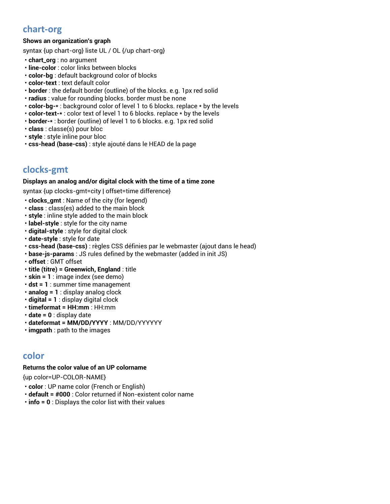# **chart-org**

### **Shows an organization's graph**

syntax {up chart-org} liste UL / OL {/up chart-org}

- **chart\_org** : no argument
- **line-color** : color links between blocks
- **color-bg** : default background color of blocks
- **color-text** : text default color
- **border** : the default border (outline) of the blocks. e.g. 1px red solid
- **radius** : value for rounding blocks. border must be none
- **color-bg-\*** : background color of level 1 to 6 blocks. replace \* by the levels
- **color-text-\*** : color text of level 1 to 6 blocks. replace \* by the levels
- **border-\*** : border (outline) of level 1 to 6 blocks. e.g. 1px red solid
- **class** : classe(s) pour bloc
- **style** : style inline pour bloc
- **css-head (base-css)** : style ajouté dans le HEAD de la page

# **clocks-gmt**

#### **Displays an analog and/or digital clock with the time of a time zone**

syntax {up clocks-gmt=city | offset=time difference}

- **clocks\_gmt** : Name of the city (for legend)
- **class** : class(es) added to the main block
- **style** : inline style added to the main block
- **label-style** : style for the city name
- **digital-style** : style for digital clock
- **date-style** : style for date
- **css-head (base-css)** : règles CSS définies par le webmaster (ajout dans le head)
- **base-js-params** : JS rules defined by the webmaster (added in init JS)
- **offset** : GMT offset
- **title (titre) = Greenwich, England** : title
- **skin = 1** : image index (see demo)
- **dst = 1** : summer time management
- **analog = 1** : display analog clock
- **digital = 1** : display digital clock
- **timeformat = HH:mm** : HH:mm
- **date = 0** : display date
- **dateformat = MM/DD/YYYY** : MM/DD/YYYYYY
- **imgpath** : path to the images

## **color**

### **Returns the color value of an UP colorname**

{up color=UP-COLOR-NAME}

- **color** : UP name color (French or English)
- **default = #000** : Color returned if Non-existent color name
- **info = 0** : Displays the color list with their values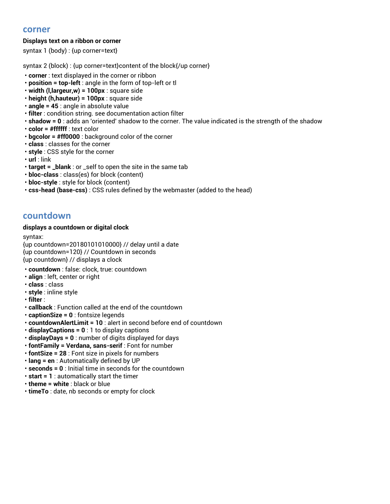## **corner**

### **Displays text on a ribbon or corner**

syntax 1 (body) : {up corner=text}

syntax 2 (block) : {up corner=text}content of the block{/up corner}

- **corner** : text displayed in the corner or ribbon
- **position = top-left** : angle in the form of top-left or tl
- **width (l,largeur,w) = 100px** : square side
- **height (h,hauteur) = 100px** : square side
- **angle = 45** : angle in absolute value
- **filter** : condition string. see documentation action filter
- **shadow = 0** : adds an 'oriented' shadow to the corner. The value indicated is the strength of the shadow
- **color = #ffffff** : text color
- **bgcolor = #ff0000** : background color of the corner
- **class** : classes for the corner
- **style** : CSS style for the corner
- **url** : link
- **target = \_blank** : or \_self to open the site in the same tab
- **bloc-class** : class(es) for block (content)
- **bloc-style** : style for block (content)
- **css-head (base-css)** : CSS rules defined by the webmaster (added to the head)

## **countdown**

#### **displays a countdown or digital clock**

syntax:

{up countdown=20180101010000} // delay until a date {up countdown=120} // Countdown in seconds {up countdown} // displays a clock

- **countdown** : false: clock, true: countdown
- **align** : left, center or right
- **class** : class
- **style** : inline style
- **filter** :
- **callback** : Function called at the end of the countdown
- **captionSize = 0** : fontsize legends
- **countdownAlertLimit = 10** : alert in second before end of countdown
- **displayCaptions = 0** : 1 to display captions
- **displayDays = 0** : number of digits displayed for days
- **fontFamily = Verdana, sans-serif** : Font for number
- **fontSize = 28** : Font size in pixels for numbers
- **lang = en** : Automatically defined by UP
- **seconds = 0** : Initial time in seconds for the countdown
- **start = 1** : automatically start the timer
- **theme = white** : black or blue
- **timeTo** : date, nb seconds or empty for clock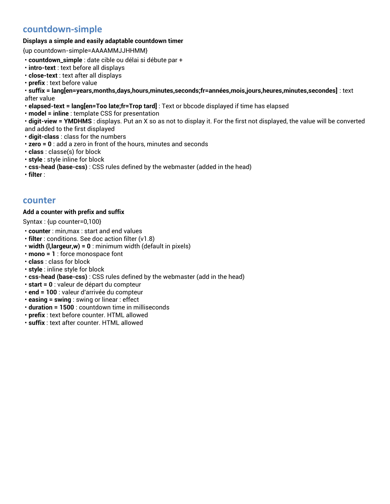# **countdown-simple**

#### **Displays a simple and easily adaptable countdown timer**

{up countdown-simple=AAAAMMJJHHMM}

- **countdown\_simple** : date cible ou délai si débute par +
- **intro-text** : text before all displays
- **close-text** : text after all displays
- **prefix** : text before value

• **suffix = lang[en=years,months,days,hours,minutes,seconds;fr=années,mois,jours,heures,minutes,secondes]** : text after value

- **elapsed-text = lang[en=Too late;fr=Trop tard]** : Text or bbcode displayed if time has elapsed
- **model = inline** : template CSS for presentation

• **digit-view = YMDHMS** : displays. Put an X so as not to display it. For the first not displayed, the value will be converted and added to the first displayed

- **digit-class** : class for the numbers
- **zero = 0** : add a zero in front of the hours, minutes and seconds
- **class** : classe(s) for block
- **style** : style inline for block
- **css-head (base-css)** : CSS rules defined by the webmaster (added in the head)
- **filter** :

## **counter**

#### **Add a counter with prefix and suffix**

Syntax : {up counter=0,100}

- **counter** : min,max : start and end values
- **filter** : conditions. See doc action filter (v1.8)
- **width (l,largeur,w) = 0** : minimum width (default in pixels)
- **mono = 1** : force monospace font
- **class** : class for block
- **style** : inline style for block
- **css-head (base-css)** : CSS rules defined by the webmaster (add in the head)
- **start = 0** : valeur de départ du compteur
- **end = 100** : valeur d'arrivée du compteur
- **easing = swing** : swing or linear : effect
- **duration = 1500** : countdown time in milliseconds
- **prefix** : text before counter. HTML allowed
- **suffix** : text after counter. HTML allowed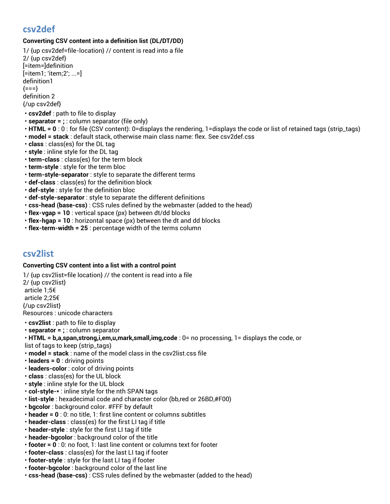# **csv2def**

## **Converting CSV content into a definition list (DL/DT/DD)**

1/ {up csv2def=file-location} // content is read into a file 2/ {up csv2def} [=item=]definition [=item1; 'item;2'; ...=] definition1  ${==}$ definition 2 {/up csv2def}

- **csv2def** : path to file to display
- **separator = ;** : column separator (file only)
- **HTML = 0** : 0 : for file (CSV content): 0=displays the rendering, 1=displays the code or list of retained tags (strip\_tags)
- **model = stack** : default stack, otherwise main class name: flex. See csv2def.css
- **class** : class(es) for the DL tag
- **style** : inline style for the DL tag
- **term-class** : class(es) for the term block
- **term-style** : style for the term bloc
- **term-style-separator** : style to separate the different terms
- **def-class** : class(es) for the definition block
- **def-style** : style for the definition bloc
- **def-style-separator** : style to separate the different definitions
- **css-head (base-css)** : CSS rules defined by the webmaster (added to the head)
- **flex-vgap = 10** : vertical space (px) between dt/dd blocks
- **flex-hgap = 10** : horizontal space (px) between the dt and dd blocks
- **flex-term-width = 25** : percentage width of the terms column

## **csv2list**

### **Converting CSV content into a list with a control point**

1/ {up csv2list=file location} // the content is read into a file 2/ {up csv2list} article 1;5€ article 2;25€ {/up csv2list} Resources : unicode characters

- **csv2list** : path to file to display
- **separator = ;** : column separator
- **HTML = b,a,span,strong,i,em,u,mark,small,img,code** : 0= no processing, 1= displays the code, or
- list of tags to keep (strip\_tags)
- **model = stack** : name of the model class in the csv2list.css file
- **leaders = 0** : driving points
- **leaders-color** : color of driving points
- **class** : class(es) for the UL block
- **style** : inline style for the UL block
- **col-style-\*** : inline style for the nth SPAN tags
- **list-style** : hexadecimal code and character color (bb,red or 26BD,#F00)
- **bgcolor** : background color. #FFF by default
- **header = 0** : 0: no title, 1: first line content or columns subtitles
- **header-class** : class(es) for the first LI tag if title
- **header-style** : style for the first LI tag if title
- **header-bgcolor** : background color of the title
- **footer = 0** : 0: no foot, 1: last line content or columns text for footer
- **footer-class** : class(es) for the last LI tag if footer
- **footer-style** : style for the last LI tag if footer
- **footer-bgcolor** : background color of the last line
- **css-head (base-css)** : CSS rules defined by the webmaster (added to the head)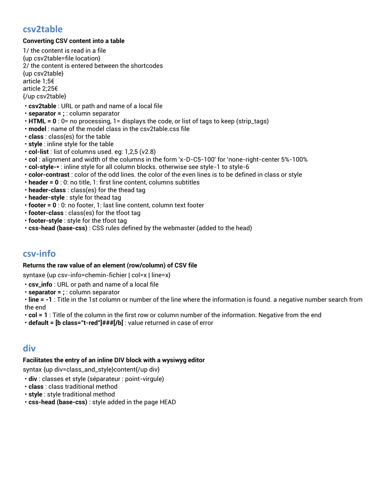## **csv2table**

### **Converting CSV content into a table**

1/ the content is read in a file {up csv2table=file location} 2/ the content is entered between the shortcodes {up csv2table} article 1;5€ article 2;25€ {/up csv2table}

- **csv2table** : URL or path and name of a local file
- **separator = ;** : column separator
- **HTML = 0** : 0= no processing, 1= displays the code, or list of tags to keep (strip\_tags)
- **model** : name of the model class in the csv2table.css file
- **class** : class(es) for the table
- **style** : inline style for the table
- **col-list** : list of columns used. eg: 1,2,5 (v2.8)
- **col** : alignment and width of the columns in the form 'x-D-C5-100' for 'none-right-center 5%-100%
- **col-style-\*** : inline style for all column blocks. otherwise see style-1 to style-6
- **color-contrast** : color of the odd lines. the color of the even lines is to be defined in class or style
- **header = 0** : 0: no title, 1: first line content, columns subtitles
- **header-class** : class(es) for the thead tag
- **header-style** : style for thead tag
- **footer = 0** : 0: no footer, 1: last line content, column text footer
- **footer-class** : class(es) for the tfoot tag
- **footer-style** : style for the tfoot tag
- **css-head (base-css)** : CSS rules defined by the webmaster (added to the head)

## **csv-info**

#### **Returns the raw value of an element (row/column) of CSV file**

syntaxe {up csv-info=chemin-fichier | col=x | line=x}

- **csv\_info** : URL or path and name of a local file
- **separator = ;** : column separator

• **line = -1** : Title in the 1st column or number of the line where the information is found. a negative number search from the end

- **col = 1** : Title of the column in the first row or column number of the information. Negative from the end
- **default = [b class="t-red"]###[/b]** : value returned in case of error

# **div**

#### **Facilitates the entry of an inline DIV block with a wysiwyg editor**

syntax {up div=class\_and\_style}content{/up div}

- **div** : classes et style (séparateur : point-virgule)
- **class** : class traditional method
- **style** : style traditional method
- **css-head (base-css)** : style added in the page HEAD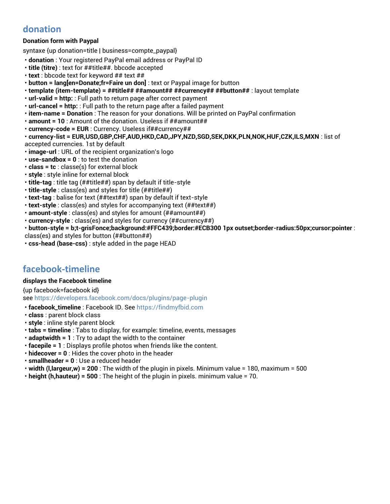# **donation**

## **Donation form with Paypal**

syntaxe {up donation=title | business=compte\_paypal}

- **donation** : Your registered PayPal email address or PayPal ID
- **title (titre)** : text for ##title##. bbcode accepted
- **text** : bbcode text for keyword ## text ##
- **button = lang[en=Donate;fr=Faire un don]** : text or Paypal image for button
- **template (item-template) = ##title## ##amount## ##currency## ##button##** : layout template
- **url-valid = http:** : Full path to return page after correct payment
- **url-cancel = http:** : Full path to the return page after a failed payment
- **item-name = Donation** : The reason for your donations. Will be printed on PayPal confirmation
- **amount = 10** : Amount of the donation. Useless if ##amount##
- **currency-code = EUR** : Currency. Useless if##currency##
- **currency-list = EUR,USD,GBP,CHF,AUD,HKD,CAD,JPY,NZD,SGD,SEK,DKK,PLN,NOK,HUF,CZK,ILS,MXN** : list of accepted currencies. 1st by default
- **image-url** : URL of the recipient organization's logo
- **use-sandbox = 0** : to test the donation
- **class = tc** : classe(s) for external block
- **style** : style inline for external block
- **title-tag** : title tag (##title##) span by default if title-style
- **title-style** : class(es) and styles for title (##title##)
- **text-tag** : balise for text (##text##) span by default if text-style
- **text-style** : class(es) and styles for accompanying text (##text##)
- **amount-style** : class(es) and styles for amount (##amount##)
- **currency-style** : class(es) and styles for currency (##currency##)
- **button-style = b;t-grisFonce;background:#FFC439;border:#ECB300 1px outset;border-radius:50px;cursor:pointer** :
- class(es) and styles for button (##button##)
- **css-head (base-css)** : style added in the page HEAD

# **facebook-timeline**

#### **displays the Facebook timeline**

{up facebook=facebook id} see<https://developers.facebook.com/docs/plugins/page-plugin>

- **facebook\_timeline** : Facebook ID. Se[e https://findmyfbid.com](https://findmyfbid.com/)
- **class** : parent block class
- **style** : inline style parent block
- **tabs = timeline** : Tabs to display, for example: timeline, events, messages
- **adaptwidth = 1** : Try to adapt the width to the container
- **facepile = 1** : Displays profile photos when friends like the content.
- **hidecover = 0** : Hides the cover photo in the header
- **smallheader = 0** : Use a reduced header
- **width (l,largeur,w) = 200** : The width of the plugin in pixels. Minimum value = 180, maximum = 500
- **height (h,hauteur) = 500** : The height of the plugin in pixels. minimum value = 70.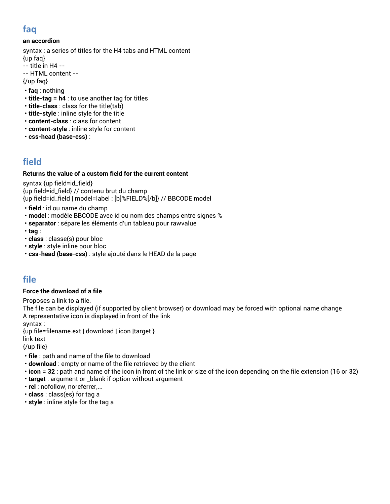# **faq**

### **an accordion**

syntax : a series of titles for the H4 tabs and HTML content {up faq}

- -- title in H4 --
- -- HTML content --

{/up faq}

- **faq** : nothing
- **title-tag = h4** : to use another tag for titles
- **title-class** : class for the title(tab)
- **title-style** : inline style for the title
- **content-class** : class for content
- **content-style** : inline style for content
- **css-head (base-css)** :

# **field**

### **Returns the value of a custom field for the current content**

syntax {up field=id\_field} {up field=id\_field} // contenu brut du champ {up field=id\_field | model=label : [b]%FIELD%[/b]} // BBCODE model

- **field** : id ou name du champ
- **model** : modèle BBCODE avec id ou nom des champs entre signes %
- **separator** : sépare les éléments d'un tableau pour rawvalue
- **tag** :
- **class** : classe(s) pour bloc
- **style** : style inline pour bloc
- **css-head (base-css)** : style ajouté dans le HEAD de la page

## **file**

### **Force the download of a file**

Proposes a link to a file.

The file can be displayed (if supported by client browser) or download may be forced with optional name change A representative icon is displayed in front of the link

syntax :

{up file=filename.ext | download | icon |target }

link text

{/up file}

- **file** : path and name of the file to download
- **download** : empty or name of the file retrieved by the client
- **icon = 32** : path and name of the icon in front of the link or size of the icon depending on the file extension (16 or 32)
- **target** : argument or \_blank if option without argument
- **rel** : nofollow, noreferrer,...
- **class** : class(es) for tag a
- **style** : inline style for the tag a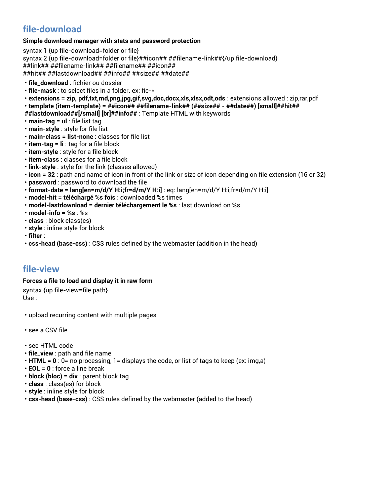# **file-download**

#### **Simple download manager with stats and password protection**

syntax 1 {up file-download=folder or file} syntax 2 {up file-download=folder or file}##icon## ##filename-link##{/up file-download} ##link## ##filename-link## ##filename## ##icon## ##hit## ##lastdownload## ##info## ##size## ##date##

- **file\_download** : fichier ou dossier
- **file-mask** : to select files in a folder. ex: fic-\*
- **extensions = zip, pdf,txt,md,png,jpg,gif,svg,doc,docx,xls,xlsx,odt,ods** : extensions allowed : zip,rar,pdf

• **template (item-template) = ##icon## ##filename-link## (##size## - ##date##) [small]##hit##** 

- **##lastdownload##[/small] [br]##info##** : Template HTML with keywords
- **main-tag = ul** : file list tag
- **main-style** : style for file list
- **main-class = list-none** : classes for file list
- **item-tag = li** : tag for a file block
- **item-style** : style for a file block
- **item-class** : classes for a file block
- **link-style** : style for the link (classes allowed)
- **icon = 32** : path and name of icon in front of the link or size of icon depending on file extension (16 or 32)
- **password** : password to download the file
- **format-date = lang[en=m/d/Y H:i;fr=d/m/Y H:i]** : eq: lang[en=m/d/Y H:i;fr=d/m/Y H:i]
- **model-hit = téléchargé %s fois** : downloaded %s times
- **model-lastdownload = dernier téléchargement le %s** : last download on %s
- **model-info = %s** : %s
- **class** : block class(es)
- **style** : inline style for block
- **filter** :
- **css-head (base-css)** : CSS rules defined by the webmaster (addition in the head)

## **file-view**

#### **Forces a file to load and display it in raw form**

syntax {up file-view=file path} Use :

- upload recurring content with multiple pages
- see a CSV file
- see HTML code
- **file\_view** : path and file name
- **HTML = 0** : 0= no processing, 1= displays the code, or list of tags to keep (ex: img,a)
- **EOL = 0** : force a line break
- **block (bloc) = div** : parent block tag
- **class** : class(es) for block
- **style** : inline style for block
- **css-head (base-css)** : CSS rules defined by the webmaster (added to the head)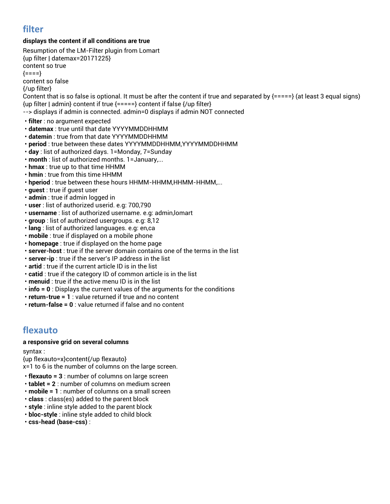# **filter**

### **displays the content if all conditions are true**

Resumption of the LM-Filter plugin from Lomart {up filter | datemax=20171225} content so true  ${===}$ content so false {/up filter} Content that is so false is optional. It must be after the content if true and separated by  $\{====\}$  (at least 3 equal signs)  ${up filter}$  | admin} content if true  ${===}$ } content if false  ${/up filter}$ --> displays if admin is connected. admin=0 displays if admin NOT connected • **filter** : no argument expected • **datemax** : true until that date YYYYMMDDHHMM • **datemin** : true from that date YYYYMMDDHHMM • **period** : true between these dates YYYYMMDDHHMM,YYYYMMDDHHMM • **day** : list of authorized days. 1=Monday, 7=Sunday • **month** : list of authorized months. 1=January,... • **hmax** : true up to that time HHMM • **hmin** : true from this time HHMM • **hperiod**: true between these hours HHMM-HHMM,HHMM-HHMM,... • **guest** : true if guest user • **admin** : true if admin logged in • **user** : list of authorized userid. e.g: 700,790 • **username** : list of authorized username. e.g: admin,lomart • **group** : list of authorized usergroups. e.g: 8,12 • **lang** : list of authorized languages. e.g: en,ca • **mobile** : true if displayed on a mobile phone • **homepage** : true if displayed on the home page • **server-host** : true if the server domain contains one of the terms in the list • **server-ip** : true if the server's IP address in the list

- **artid** : true if the current article ID is in the list
- **catid** : true if the category ID of common article is in the list
- **menuid** : true if the active menu ID is in the list
- **info = 0** : Displays the current values of the arguments for the conditions
- **return-true = 1** : value returned if true and no content
- **return-false = 0** : value returned if false and no content

# **flexauto**

#### **a responsive grid on several columns**

syntax :

{up flexauto=x}content{/up flexauto}

x=1 to 6 is the number of columns on the large screen.

- **flexauto = 3** : number of columns on large screen
- **tablet = 2** : number of columns on medium screen
- **mobile = 1** : number of columns on a small screen
- **class** : class(es) added to the parent block
- **style** : inline style added to the parent block
- **bloc-style** : inline style added to child block
- **css-head (base-css)** :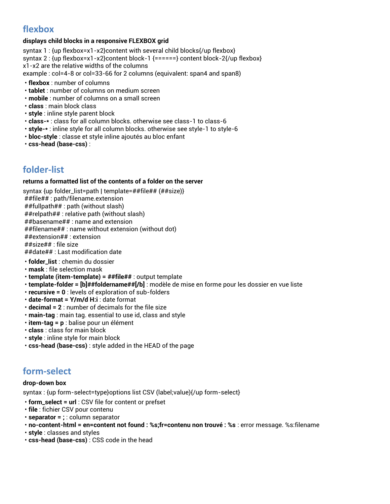# **flexbox**

### **displays child blocks in a responsive FLEXBOX grid**

syntax 1 : {up flexbox=x1-x2}content with several child blocks{/up flexbox} syntax 2 : {up flexbox=x1-x2}content block-1 {======} content block-2{/up flexbox} x1-x2 are the relative widths of the columns

example : col=4-8 or col=33-66 for 2 columns (equivalent: span4 and span8)

- **flexbox** : number of columns
- **tablet** : number of columns on medium screen
- **mobile** : number of columns on a small screen
- **class** : main block class
- **style** : inline style parent block
- **class-\*** : class for all column blocks. otherwise see class-1 to class-6
- **style-\*** : inline style for all column blocks. otherwise see style-1 to style-6
- **bloc-style** : classe et style inline ajoutés au bloc enfant
- **css-head (base-css)** :

# **folder-list**

### **returns a formatted list of the contents of a folder on the server**

syntax {up folder\_list=path | template=##file## (##size)}

##file## : path/filename.extension

##fullpath## : path (without slash)

##relpath## : relative path (without slash)

##basename## : name and extension

##filename## : name without extension (without dot)

##extension## : extension

##size## : file size

##date## : Last modification date

- **folder\_list** : chemin du dossier
- **mask** : file selection mask
- **template (item-template) = ##file##** : output template
- **template-folder = [b]##foldername##[/b]** : modèle de mise en forme pour les dossier en vue liste
- **recursive = 0** : levels of exploration of sub-folders
- **date-format = Y/m/d H:i** : date format
- **decimal = 2** : number of decimals for the file size
- **main-tag** : main tag. essential to use id, class and style
- **item-tag = p** : balise pour un élément
- **class** : class for main block
- **style** : inline style for main block
- **css-head (base-css)** : style added in the HEAD of the page

# **form-select**

#### **drop-down box**

syntax : {up form-select=type}options list CSV (label;value){/up form-select}

- **form\_select = url** : CSV file for content or prefset
- **file** : fichier CSV pour contenu
- **separator = ;** : column separator
- **no-content-html = en=content not found : %s;fr=contenu non trouvé : %s** : error message. %s:filename
- **style** : classes and styles
- **css-head (base-css)** : CSS code in the head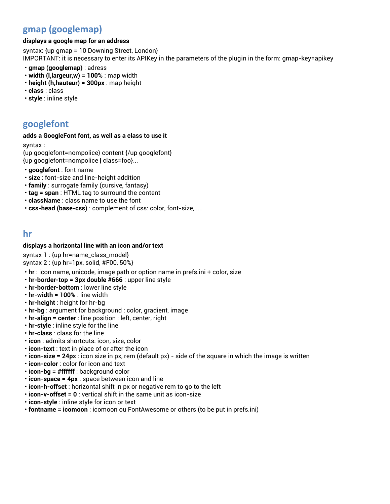# **gmap (googlemap)**

#### **displays a google map for an address**

syntax: {up gmap = 10 Downing Street, London} IMPORTANT: it is necessary to enter its APIKey in the parameters of the plugin in the form: gmap-key=apikey

- **gmap (googlemap)** : adress
- **width (l,largeur,w) = 100%** : map width
- **height (h,hauteur) = 300px** : map height
- **class** : class
- **style** : inline style

# **googlefont**

#### **adds a GoogleFont font, as well as a class to use it**

syntax :

{up googlefont=nompolice} content {/up googlefont} {up googlefont=nompolice | class=foo}...

- **googlefont** : font name
- **size** : font-size and line-height addition
- **family** : surrogate family (cursive, fantasy)
- **tag = span** : HTML tag to surround the content
- **className** : class name to use the font
- **css-head (base-css)** : complement of css: color, font-size,.....

## **hr**

### **displays a horizontal line with an icon and/or text**

syntax 1 : {up hr=name\_class\_model} syntax 2 : {up hr=1px, solid, #F00, 50%}

- **hr** : icon name, unicode, image path or option name in prefs.ini + color, size
- **hr-border-top = 3px double #666** : upper line style
- **hr-border-bottom** : lower line style
- **hr-width = 100%** : line width
- **hr-height** : height for hr-bg
- **hr-bg** : argument for background : color, gradient, image
- **hr-align = center** : line position : left, center, right
- **hr-style** : inline style for the line
- **hr-class** : class for the line
- **icon** : admits shortcuts: icon, size, color
- **icon-text** : text in place of or after the icon
- **icon-size = 24px** : icon size in px, rem (default px) side of the square in which the image is written
- **icon-color** : color for icon and text
- **icon-bg = #ffffff** : background color
- **icon-space = 4px** : space between icon and line
- **icon-h-offset** : horizontal shift in px or negative rem to go to the left
- **icon-v-offset = 0** : vertical shift in the same unit as icon-size
- **icon-style** : inline style for icon or text
- **fontname = icomoon** : icomoon ou FontAwesome or others (to be put in prefs.ini)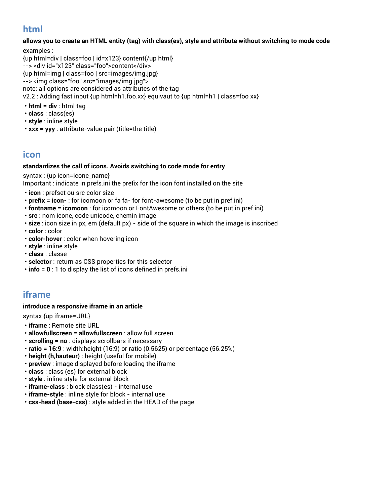# **html**

**allows you to create an HTML entity (tag) with class(es), style and attribute without switching to mode code**

examples : {up html=div | class=foo | id=x123} content{/up html} --> <div id="x123" class="foo">content</div> {up html=img | class=foo | src=images/img.jpg} --> <img class="foo" src="images/img.jpg"> note: all options are considered as attributes of the tag v2.2 : Adding fast input {up html=h1.foo.xx} equivaut to {up html=h1 | class=foo xx}

- **html = div** : html tag
- **class** : class(es)
- **style** : inline style
- **xxx = yyy** : attribute-value pair (title=the title)

## **icon**

#### **standardizes the call of icons. Avoids switching to code mode for entry**

syntax : {up icon=icone\_name}

Important : indicate in prefs.ini the prefix for the icon font installed on the site

- **icon** : prefset ou src color size
- **prefix = icon-** : for icomoon or fa fa- for font-awesome (to be put in pref.ini)
- **fontname = icomoon** : for icomoon or FontAwesome or others (to be put in pref.ini)
- **src** : nom icone, code unicode, chemin image
- **size** : icon size in px, em (default px) side of the square in which the image is inscribed
- **color** : color
- **color-hover** : color when hovering icon
- **style** : inline style
- **class** : classe
- **selector** : return as CSS properties for this selector
- **info = 0** : 1 to display the list of icons defined in prefs.ini

# **iframe**

### **introduce a responsive iframe in an article**

syntax {up iframe=URL}

- **iframe** : Remote site URL
- **allowfullscreen = allowfullscreen** : allow full screen
- **scrolling = no** : displays scrollbars if necessary
- **ratio = 16:9** : width:height (16:9) or ratio (0.5625) or percentage (56.25%)
- **height (h,hauteur)** : height (useful for mobile)
- **preview** : image displayed before loading the iframe
- **class** : class (es) for external block
- **style** : inline style for external block
- **iframe-class** : block class(es) internal use
- **iframe-style** : inline style for block internal use
- **css-head (base-css)** : style added in the HEAD of the page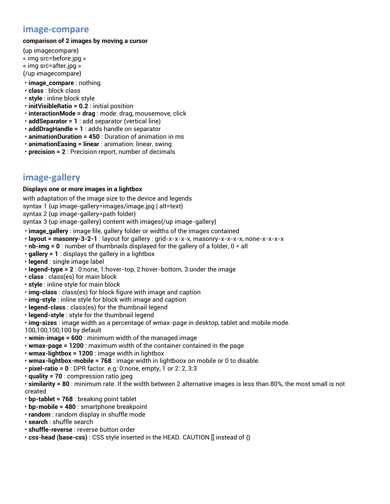## **image-compare**

#### **comparison of 2 images by moving a cursor**

- {up imagecompare} < img src=before.jpg > < img src=after.jpg > {/up imagecompare}
- **image\_compare** : nothing
- **class** : block class
- **style** : inline block style
- **initVisibleRatio = 0.2** : initial position
- **interactionMode = drag** : mode: drag, mousemove, click
- **addSeparator = 1** : add separator (vertical line)
- **addDragHandle = 1** : adds handle on separator
- **animationDuration = 450** : Duration of animation in ms
- **animationEasing = linear** : animation: linear, swing
- **precision = 2** : Precision report, number of decimals

# **image-gallery**

#### **Displays one or more images in a lightbox**

with adaptation of the image size to the device and legends syntax 1 {up image-gallery=images/image.jpg | alt=text} syntax 2 {up image-gallery=path folder}

syntax 3 {up image-gallery} content with images{/up image-gallery}

- **image\_gallery** : image file, gallery folder or widths of the images contained
- **layout = masonry-3-2-1** : layout for gallery : grid-x-x-x-x, masonry-x-x-x-x, none-x-x-x-x
- **nb-img = 0** : number of thumbnails displayed for the gallery of a folder, 0 = all
- **gallery = 1** : displays the gallery in a lightbox
- **legend** : single image label
- **legend-type = 2** : 0:none, 1:hover-top, 2:hover-bottom, 3:under the image
- **class** : class(es) for main block
- **style** : inline style for main block
- **img-class** : class(es) for block figure with image and caption
- **img-style** : inline style for block with image and caption
- **legend-class** : class(es) for the thumbnail legend
- **legend-style** : style for the thumbnail legend
- **img-sizes** : image width as a percentage of wmax-page in desktop, tablet and mobile mode.

100,100,100,100 by default

- **wmin-image = 600** : minimum width of the managed image
- **wmax-page = 1200** : maximum width of the container contained in the page
- **wmax-lightbox = 1200** : image width in lightbox
- **wmax-lightbox-mobile = 768** : image width in lightboox on mobile or 0 to disable.
- **pixel-ratio = 0** : DPR factor. e.g: 0:none, empty, 1 or 2: 2, 3:3
- **quality = 70** : compression ratio jpeg

• **similarity = 80** : minimum rate. If the width between 2 alternative images is less than 80%, the most small is not created

- **bp-tablet = 768** : breaking point tablet
- **bp-mobile = 480** : smartphone breakpoint
- **random** : random display in shuffle mode
- **search** : shuffle search
- **shuffle-reverse** : reverse button order
- **css-head (base-css)** : CSS style inserted in the HEAD. CAUTION [] instead of {}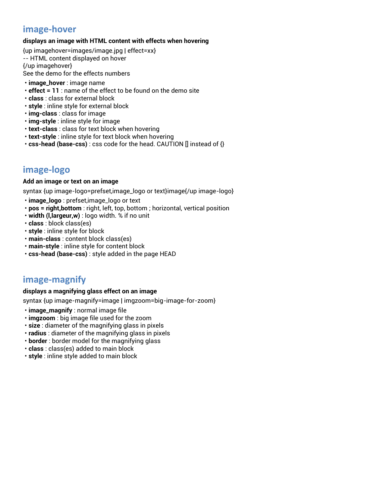# **image-hover**

### **displays an image with HTML content with effects when hovering**

{up imagehover=images/image.jpg | effect=xx} -- HTML content displayed on hover {/up imagehover}

See the demo for the effects numbers

- **image\_hover** : image name
- **effect = 11** : name of the effect to be found on the demo site
- **class** : class for external block
- **style** : inline style for external block
- **img-class** : class for image
- **img-style** : inline style for image
- **text-class** : class for text block when hovering
- **text-style** : inline style for text block when hovering
- **css-head (base-css)** : css code for the head. CAUTION [] instead of {}

# **image-logo**

#### **Add an image or text on an image**

syntax {up image-logo=prefset,image\_logo or text}image{/up image-logo}

- **image\_logo** : prefset,image\_logo or text
- **pos = right,bottom** : right, left, top, bottom ; horizontal, vertical position
- **width (l,largeur,w)** : logo width. % if no unit
- **class** : block class(es)
- **style** : inline style for block
- **main-class** : content block class(es)
- **main-style** : inline style for content block
- **css-head (base-css)** : style added in the page HEAD

# **image-magnify**

#### **displays a magnifying glass effect on an image**

syntax {up image-magnify=image | imgzoom=big-image-for-zoom}

- **image\_magnify** : normal image file
- **imgzoom** : big image file used for the zoom
- **size** : diameter of the magnifying glass in pixels
- **radius** : diameter of the magnifying glass in pixels
- **border** : border model for the magnifying glass
- **class** : class(es) added to main block
- **style** : inline style added to main block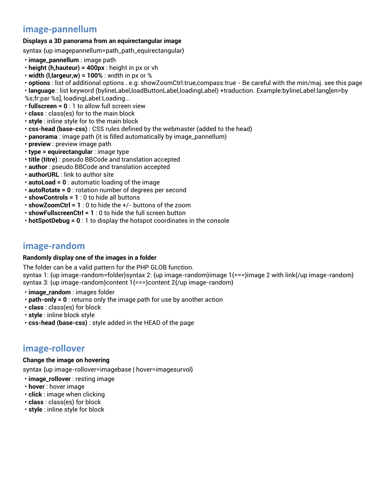# **image-pannellum**

### **Displays a 3D panorama from an equirectangular image**

syntax {up imagepannellum=path\_path\_equirectangular}

- **image\_pannellum** : image path
- **height (h,hauteur) = 400px** : height in px or vh
- **width (l,largeur,w) = 100%** : width in px or %

• **options** : list of additional options . e.g: showZoomCtrl:true,compass:true - Be careful with the min/maj. see this page • **language** : list keyword (bylineLabel,loadButtonLabel,loadingLabel) +traduction. Example:bylineLabel:lang[en=by

%s;fr:par %s], loadingLabel:Loading...

- **fullscreen = 0** : 1 to allow full screen view
- **class** : class(es) for to the main block
- **style** : inline style for to the main block
- **css-head (base-css)** : CSS rules defined by the webmaster (added to the head)
- **panorama** : image path (it is filled automatically by image\_pannellum)
- **preview** : preview image path
- **type = equirectangular** : image type
- **title (titre)** : pseudo BBCode and translation accepted
- **author** : pseudo BBCode and translation accepted
- **authorURL** : link to author site
- **autoLoad = 0** : automatic loading of the image
- **autoRotate = 0** : rotation number of degrees per second
- **showControls = 1** : 0 to hide all buttons
- **showZoomCtrl = 1** : 0 to hide the +/- buttons of the zoom
- **showFullscreenCtrl = 1** : 0 to hide the full screen button
- **hotSpotDebug = 0** : 1 to display the hotspot coordinates in the console

## **image-random**

#### **Randomly display one of the images in a folder**

The folder can be a valid pattern for the PHP GLOB function. syntax 1: {up image-random=folder}syntax 2: {up image-random}image 1{===}image 2 with link{/up image-random} syntax 3: {up image-random}content 1{===}content 2{/up image-random}

- **image\_random** : images folder
- **path-only = 0** : returns only the image path for use by another action
- **class** : class(es) for block
- **style** : inline block style
- **css-head (base-css)** : style added in the HEAD of the page

## **image-rollover**

#### **Change the image on hovering**

syntax {up image-rollover=imagebase | hover=imagesurvol}

- **image\_rollover** : resting image
- **hover** : hover image
- **click** : image when clicking
- **class** : class(es) for block
- **style** : inline style for block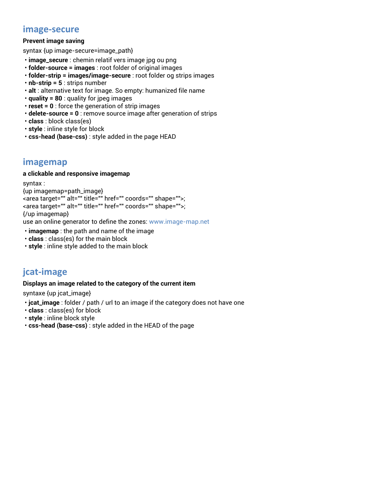## **image-secure**

### **Prevent image saving**

syntax {up image-secure=image\_path}

- **image\_secure** : chemin relatif vers image jpg ou png
- **folder-source = images** : root folder of original images
- **folder-strip = images/image-secure** : root folder og strips images
- **nb-strip = 5** : strips number
- **alt** : alternative text for image. So empty: humanized file name
- **quality = 80** : quality for jpeg images
- **reset = 0** : force the generation of strip images
- **delete-source = 0** : remove source image after generation of strips
- **class** : block class(es)
- **style** : inline style for block
- **css-head (base-css)** : style added in the page HEAD

# **imagemap**

#### **a clickable and responsive imagemap**

syntax :

{up imagemap=path\_image}

```
<area target="" alt="" title="" href="" coords="" shape="">;
<area target="" alt="" title="" href="" coords="" shape="">;
{/up imagemap}
```
use an online generator to define the zones: [www.image-map.net](file:///D:/Telechargements/__UP_pour_Rubix/TICO/_DOC%20sur%20site/v2.5/ETUDE/www.image-map.net)

- **imagemap** : the path and name of the image
- **class** : class(es) for the main block
- **style** : inline style added to the main block

# **jcat-image**

### **Displays an image related to the category of the current item**

syntaxe {up jcat\_image}

- **jcat\_image** : folder / path / url to an image if the category does not have one
- **class** : class(es) for block
- **style** : inline block style
- **css-head (base-css)** : style added in the HEAD of the page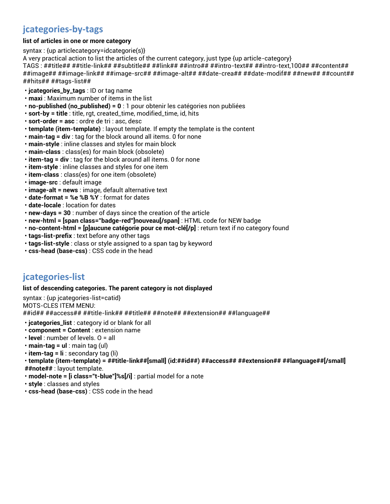# **jcategories-by-tags**

### **list of articles in one or more category**

syntax : {up articlecategory=idcategorie(s)}

A very practical action to list the articles of the current category, just type {up article-category}

TAGS : ##title## ##title-link## ##subtitle## ##link## ##intro## ##intro-text## ##intro-text,100## ##content## ##image## ##image-link## ##image-src## ##image-alt## ##date-crea## ##date-modif## ##new## ##count## ##hits## ##tags-list##

- **jcategories\_by\_tags** : ID or tag name
- **maxi** : Maximum number of items in the list
- **no-published (no\_published) = 0** : 1 pour obtenir les catégories non publiées
- **sort-by = title** : title, rgt, created\_time, modified\_time, id, hits
- **sort-order = asc** : ordre de tri : asc, desc
- **template (item-template)** : layout template. If empty the template is the content
- **main-tag = div** : tag for the block around all items. 0 for none
- **main-style** : inline classes and styles for main block
- **main-class** : class(es) for main block (obsolete)
- **item-tag = div** : tag for the block around all items. 0 for none
- **item-style** : inline classes and styles for one item
- **item-class** : class(es) for one item (obsolete)
- **image-src** : default image
- **image-alt = news** : image, default alternative text
- **date-format = %e %B %Y** : format for dates
- **date-locale** : location for dates
- **new-days = 30** : number of days since the creation of the article
- **new-html = [span class="badge-red"]nouveau[/span]** : HTML code for NEW badge
- **no-content-html = [p]aucune catégorie pour ce mot-clé[/p]** : return text if no category found
- **tags-list-prefix** : text before any other tags
- **tags-list-style** : class or style assigned to a span tag by keyword
- **css-head (base-css)** : CSS code in the head

# **jcategories-list**

#### **list of descending categories. The parent category is not displayed**

syntax : {up jcategories-list=catid} MOTS-CLES ITEM MENU: ##id## ##access## ##title-link## ##title## ##note## ##extension## ##language##

- **jcategories\_list** : category id or blank for all
- **component = Content** : extension name
- **level** : number of levels. O = all
- **main-tag = ul** : main tag (ul)
- **item-tag = li** : secondary tag (li)
- **template (item-template) = ##title-link##[small] (id:##id##) ##access## ##extension## ##language##[/small]**
- **##note##** : layout template.
- **model-note = [i class="t-blue"]%s[/i]** : partial model for a note
- **style** : classes and styles
- **css-head (base-css)** : CSS code in the head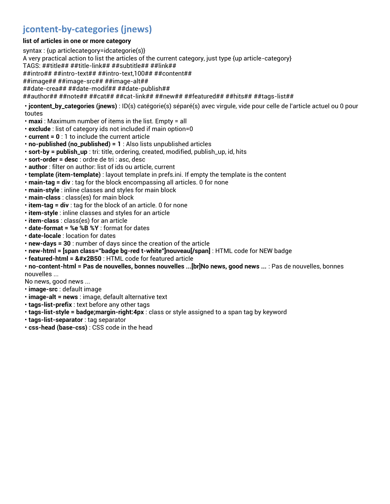# **jcontent-by-categories (jnews)**

### **list of articles in one or more category**

syntax : {up articlecategory=idcategorie(s)} A very practical action to list the articles of the current category, just type {up article-category} TAGS: ##title## ##title-link## ##subtitle## ##link## ##intro## ##intro-text## ##intro-text,100## ##content## ##image## ##image-src## ##image-alt## ##date-crea## ##date-modif## ##date-publish## ##author## ##note## ##cat## ##cat-link## ##new## ##featured## ##hits## ##tags-list##

• **jcontent\_by\_categories (jnews)** : ID(s) catégorie(s) séparé(s) avec virgule, vide pour celle de l'article actuel ou 0 pour toutes

- **maxi** : Maximum number of items in the list. Empty = all
- **exclude** : list of category ids not included if main option=0
- **current = 0** : 1 to include the current article
- **no-published (no\_published) = 1** : Also lists unpublished articles
- **sort-by = publish\_up** : tri: title, ordering, created, modified, publish\_up, id, hits
- **sort-order = desc** : ordre de tri : asc, desc
- **author** : filter on author: list of ids ou article, current
- **template (item-template)** : layout template in prefs.ini. If empty the template is the content
- **main-tag = div** : tag for the block encompassing all articles. 0 for none
- **main-style** : inline classes and styles for main block
- **main-class** : class(es) for main block
- **item-tag = div** : tag for the block of an article. 0 for none
- **item-style** : inline classes and styles for an article
- **item-class** : class(es) for an article
- **date-format = %e %B %Y** : format for dates
- **date-locale** : location for dates
- **new-days = 30** : number of days since the creation of the article
- **new-html = [span class="badge bg-red t-white"]nouveau[/span]** : HTML code for NEW badge
- **featured-html = &#x2B50** : HTML code for featured article

• **no-content-html = Pas de nouvelles, bonnes nouvelles ...[br]No news, good news ...** : Pas de nouvelles, bonnes nouvelles ...

No news, good news ...

- **image-src** : default image
- **image-alt = news** : image, default alternative text
- **tags-list-prefix** : text before any other tags
- **tags-list-style = badge;margin-right:4px** : class or style assigned to a span tag by keyword
- **tags-list-separator** : tag separator
- **css-head (base-css)** : CSS code in the head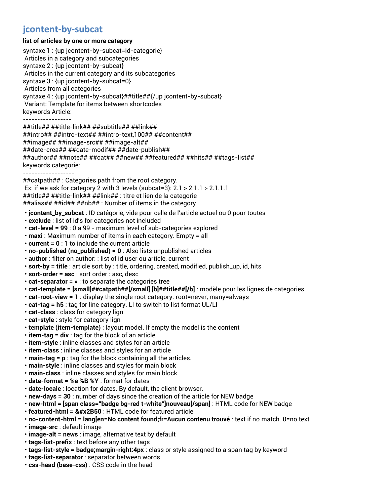# **jcontent-by-subcat**

#### **list of articles by one or more category**

syntaxe 1 : {up jcontent-by-subcat=id-categorie} Articles in a category and subcategories syntaxe 2 : {up jcontent-by-subcat} Articles in the current category and its subcategories syntaxe 3 : {up jcontent-by-subcat=0} Articles from all categories syntaxe 4 : {up jcontent-by-subcat}##title##{/up jcontent-by-subcat} Variant: Template for items between shortcodes keywords Article: ----------------- ##title## ##title-link## ##subtitle## ##link## ##intro## ##intro-text## ##intro-text,100## ##content## ##image## ##image-src## ##image-alt## ##date-crea## ##date-modif## ##date-publish## ##author## ##note## ##cat## ##new## ##featured## ##hits## ##tags-list## keywords categorie: ------------------ ##catpath## : Categories path from the root category. Ex: if we ask for category 2 with 3 levels (subcat=3): 2.1 > 2.1.1 > 2.1.1.1 ##title## ##title-link## ##link## : titre et lien de la categorie ##alias## ##id## ##nb## : Number of items in the category • **jcontent\_by\_subcat** : ID catégorie, vide pour celle de l'article actuel ou 0 pour toutes • **exclude** : list of id's for categories not included • **cat-level = 99** : 0 a 99 - maximum level of sub-categories explored • **maxi** : Maximum number of items in each category. Empty = all • **current = 0** : 1 to include the current article • **no-published (no\_published) = 0** : Also lists unpublished articles • **author** : filter on author: : list of id user ou article, current • **sort-by = title** : article sort by : title, ordering, created, modified, publish\_up, id, hits • **sort-order = asc** : sort order : asc, desc • **cat-separator = »** : to separate the categories tree • **cat-template = [small]##catpath##[/small] [b]##title##[/b]** : modèle pour les lignes de categories • **cat-root-view = 1** : display the single root category. root=never, many=always • **cat-tag = h5** : tag for line category. LI to switch to list format UL/LI • **cat-class** : class for category lign • **cat-style** : style for category lign • **template (item-template)** : layout model. If empty the model is the content • **item-tag = div** : tag for the block of an article • **item-style** : inline classes and styles for an article • **item-class** : inline classes and styles for an article • **main-tag = p** : tag for the block containing all the articles. • **main-style** : inline classes and styles for main block • **main-class** : inline classes and styles for main block • **date-format = %e %B %Y** : format for dates • **date-locale** : location for dates. By default, the client browser. • **new-days = 30** : number of days since the creation of the article for NEW badge • **new-html = [span class="badge bg-red t-white"]nouveau[/span]** : HTML code for NEW badge • **featured-html = &#x2B50** : HTML code for featured article • **no-content-html = lang[en=No content found;fr=Aucun contenu trouvé** : text if no match. 0=no text • **image-src** : default image • **image-alt = news** : image, alternative text by default • **tags-list-prefix** : text before any other tags • **tags-list-style = badge;margin-right:4px** : class or style assigned to a span tag by keyword

- **tags-list-separator** : separator between words
- **css-head (base-css)** : CSS code in the head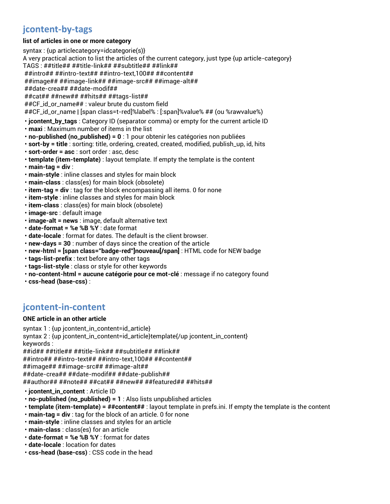# **jcontent-by-tags**

### **list of articles in one or more category**

syntax : {up articlecategory=idcategorie(s)}

A very practical action to list the articles of the current category, just type {up article-category}

TAGS : ##title## ##title-link## ##subtitle## ##link##

##intro## ##intro-text## ##intro-text,100## ##content## ##image## ##image-link## ##image-src## ##image-alt##

##date-crea## ##date-modif##

##cat## ##new## ##hits## ##tags-list##

##CF\_id\_or\_name## : valeur brute du custom field

##CF\_id\_or\_name | [span class=t-red]%label% : [:span]%value% ## (ou %rawvalue%)

- **jcontent\_by\_tags** : Category ID (separator comma) or empty for the current article ID
- **maxi** : Maximum number of items in the list
- **no-published (no\_published) = 0** : 1 pour obtenir les catégories non publiées
- **sort-by = title** : sorting: title, ordering, created, created, modified, publish\_up, id, hits
- **sort-order = asc** : sort order : asc, desc
- **template (item-template)** : layout template. If empty the template is the content
- **main-tag = div** :
- **main-style** : inline classes and styles for main block
- **main-class** : class(es) for main block (obsolete)
- **item-tag = div** : tag for the block encompassing all items. 0 for none
- **item-style** : inline classes and styles for main block
- **item-class** : class(es) for main block (obsolete)
- **image-src** : default image
- **image-alt = news** : image, default alternative text
- **date-format = %e %B %Y** : date format
- **date-locale** : format for dates. The default is the client browser.
- **new-days = 30** : number of days since the creation of the article
- **new-html = [span class="badge-red"]nouveau[/span]** : HTML code for NEW badge
- **tags-list-prefix** : text before any other tags
- **tags-list-style** : class or style for other keywords
- **no-content-html = aucune catégorie pour ce mot-clé** : message if no category found
- **css-head (base-css)** :

# **jcontent-in-content**

## **ONE article in an other article**

syntax 1 : {up jcontent\_in\_content=id\_article}

syntax 2 : {up jcontent\_in\_content=id\_article}template{/up jcontent\_in\_content} keywords :

##id## ##title## ##title-link## ##subtitle## ##link##

##intro## ##intro-text## ##intro-text,100## ##content##

##image## ##image-src## ##image-alt##

##date-crea## ##date-modif## ##date-publish##

##author## ##note## ##cat## ##new## ##featured## ##hits##

- **jcontent\_in\_content** : Article ID
- **no-published (no\_published) = 1** : Also lists unpublished articles
- **template (item-template) = ##content##** : layout template in prefs.ini. If empty the template is the content
- **main-tag = div** : tag for the block of an article. 0 for none
- **main-style** : inline classes and styles for an article
- **main-class** : class(es) for an article
- **date-format = %e %B %Y** : format for dates
- **date-locale** : location for dates
- **css-head (base-css)** : CSS code in the head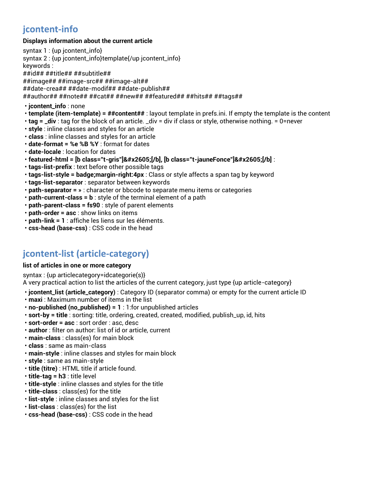# **jcontent-info**

### **Displays information about the current article**

| syntax $1:$ {up jcontent_info}                                                                                                                                                                                                                                                                                                                                                                                               |
|------------------------------------------------------------------------------------------------------------------------------------------------------------------------------------------------------------------------------------------------------------------------------------------------------------------------------------------------------------------------------------------------------------------------------|
| syntax 2 : {up jcontent_info}template{/up jcontent_info}                                                                                                                                                                                                                                                                                                                                                                     |
| keywords :                                                                                                                                                                                                                                                                                                                                                                                                                   |
| ##id## ##title## ##subtitle##                                                                                                                                                                                                                                                                                                                                                                                                |
| ##image## ##image-src## ##image-alt##                                                                                                                                                                                                                                                                                                                                                                                        |
| ##date-crea## ##date-modif## ##date-publish##                                                                                                                                                                                                                                                                                                                                                                                |
| ##author## ##note## ##cat## ##new## ##featured## ##hits## ##tags##                                                                                                                                                                                                                                                                                                                                                           |
| · jcontent_info : none                                                                                                                                                                                                                                                                                                                                                                                                       |
| <b><math>\cdot</math> template (item-template)</b> = $\#$ <b>#content##</b> : layout template in prefs.ini. If empty the template is the content                                                                                                                                                                                                                                                                             |
| $\mathbf{r} = \mathbf{r} + \mathbf{r} + \mathbf{r} + \mathbf{r} + \mathbf{r} + \mathbf{r} + \mathbf{r} + \mathbf{r} + \mathbf{r} + \mathbf{r} + \mathbf{r} + \mathbf{r} + \mathbf{r} + \mathbf{r} + \mathbf{r} + \mathbf{r} + \mathbf{r} + \mathbf{r} + \mathbf{r} + \mathbf{r} + \mathbf{r} + \mathbf{r} + \mathbf{r} + \mathbf{r} + \mathbf{r} + \mathbf{r} + \mathbf{r} + \mathbf{r} + \mathbf{r} + \mathbf{r} + \mathbf$ |

- **tag = \_div** : tag for the block of an article. \_div = div if class or style, otherwise nothing. = 0=never
- **style** : inline classes and styles for an article
- **class** : inline classes and styles for an article
- **date-format = %e %B %Y** : format for dates
- **date-locale** : location for dates
- **featured-html = [b class="t-gris"]★[/b], [b class="t-jauneFonce"]★[/b]** :
- **tags-list-prefix** : text before other possible tags
- **tags-list-style = badge;margin-right:4px** : Class or style affects a span tag by keyword
- **tags-list-separator** : separator between keywords
- **path-separator = »** : character or bbcode to separate menu items or categories
- **path-current-class = b** : style of the terminal element of a path
- **path-parent-class = fs90** : style of parent elements
- **path-order = asc** : show links on items
- **path-link = 1** : affiche les liens sur les éléments.
- **css-head (base-css)** : CSS code in the head

# **jcontent-list (article-category)**

#### **list of articles in one or more category**

syntax : {up articlecategory=idcategorie(s)}

A very practical action to list the articles of the current category, just type {up article-category}

- **jcontent\_list (article\_category)** : Category ID (separator comma) or empty for the current article ID
- **maxi** : Maximum number of items in the list
- **no-published (no\_published) = 1** : 1:for unpublished articles
- **sort-by = title** : sorting: title, ordering, created, created, modified, publish\_up, id, hits
- **sort-order = asc** : sort order : asc, desc
- **author** : filter on author: list of id or article, current
- **main-class** : class(es) for main block
- **class** : same as main-class
- **main-style** : inline classes and styles for main block
- **style** : same as main-style
- **title (titre)** : HTML title if article found.
- **title-tag = h3** : title level
- **title-style** : inline classes and styles for the title
- **title-class** : class(es) for the title
- **list-style** : inline classes and styles for the list
- **list-class** : class(es) for the list
- **css-head (base-css)** : CSS code in the head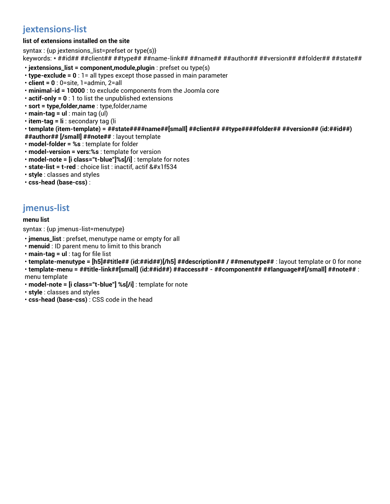# **jextensions-list**

## **list of extensions installed on the site**

syntax : {up jextensions\_list=prefset or type(s)}

keywords: \* ##id## ##client## ##type## ##name-link## ##name## ##author## ##version## ##folder## ##state##

- **jextensions\_list = component,module,plugin** : prefset ou type(s)
- **type-exclude = 0** : 1= all types except those passed in main parameter
- **client = 0** : 0=site, 1=admin, 2=all
- **minimal-id = 10000** : to exclude components from the Joomla core
- **actif-only = 0** : 1 to list the unpublished extensions
- **sort = type,folder,name** : type,folder,name
- **main-tag = ul** : main tag (ul)
- **item-tag = li** : secondary tag (li
- **template (item-template) = ##state####name##[small] ##client## ##type####folder## ##version## (id:##id##)**
- **##author## [/small] ##note##** : layout template
- **model-folder = %s** : template for folder
- **model-version = vers:%s** : template for version
- **model-note = [i class="t-blue"]%s[/i]** : template for notes
- state-list = t-red : choice list : inactif, actif &#x1f534
- **style** : classes and styles
- **css-head (base-css)** :

# **jmenus-list**

#### **menu list**

syntax : {up jmenus-list=menutype}

- **jmenus\_list** : prefset, menutype name or empty for all
- **menuid** : ID parent menu to limit to this branch
- **main-tag = ul** : tag for file list
- **template-menutype = [h5]##title## (id:##id##)[/h5] ##description## / ##menutype##** : layout template or 0 for none
- **template-menu = ##title-link##[small] (id:##id##) ##access## - ##component## ##language##[/small] ##note##** : menu template
- **model-note = [i class="t-blue"] %s[/i]** : template for note
- **style** : classes and styles
- **css-head (base-css)** : CSS code in the head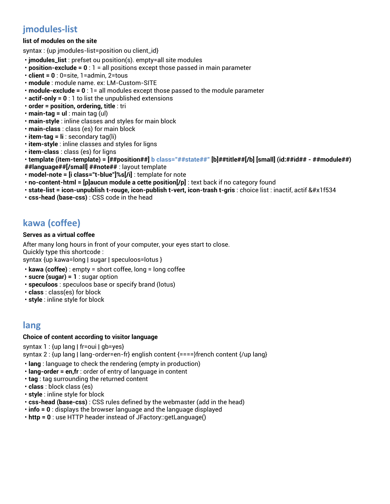# **jmodules-list**

### **list of modules on the site**

syntax : {up jmodules-list=position ou client\_id}

- **jmodules\_list** : prefset ou position(s). empty=all site modules
- **position-exclude = 0** : 1 = all positions except those passed in main parameter
- **client = 0** : 0=site, 1=admin, 2=tous
- **module** : module name. ex: LM-Custom-SITE
- **module-exclude = 0** : 1= all modules except those passed to the module parameter
- **actif-only = 0** : 1 to list the unpublished extensions
- **order = position, ordering, title** : tri
- **main-tag = ul** : main tag (ul)
- **main-style** : inline classes and styles for main block
- **main-class** : class (es) for main block
- **item-tag = li** : secondary tag(li)
- **item-style** : inline classes and styles for ligns
- **item-class** : class (es) for ligns
- **template (item-template) = [##position##] b class="##state##" [b]##title##[/b] [small] (id:##id## - ##module##)**
- **##language##[/small] ##note##** : layout template
- **model-note = [i class="t-blue"]%s[/i]** : template for note
- **no-content-html = [p]aucun module a cette position[/p]** : text back if no category found
- state-list = icon-unpublish t-rouge, icon-publish t-vert, icon-trash t-gris : choice list : inactif, actif &#x1f534
- **css-head (base-css)** : CSS code in the head

# **kawa (coffee)**

#### **Serves as a virtual coffee**

After many long hours in front of your computer, your eyes start to close.

Quickly type this shortcode :

syntax {up kawa=long | sugar | speculoos=lotus }

- **kawa (coffee)** : empty = short coffee, long = long coffee
- **sucre (sugar) = 1** : sugar option
- **speculoos** : speculoos base or specify brand (lotus)
- **class** : class(es) for block
- **style** : inline style for block

# **lang**

#### **Choice of content according to visitor language**

syntax 1 : {up lang | fr=oui | gb=yes}

syntax 2 : {up lang | lang-order=en-fr} english content  $\{===\}$ french content  $\{/up$  lang}

- **lang** : language to check the rendering (empty in production)
- **lang-order = en,fr** : order of entry of language in content
- **tag** : tag surrounding the returned content
- **class** : block class (es)
- **style** : inline style for block
- **css-head (base-css)** : CSS rules defined by the webmaster (add in the head)
- **info = 0** : displays the browser language and the language displayed
- **http = 0** : use HTTP header instead of JFactory::getLanguage()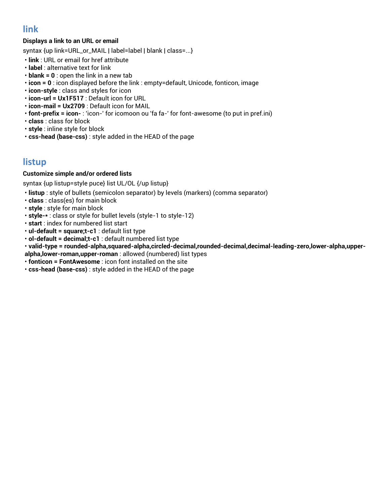# **link**

## **Displays a link to an URL or email**

syntax {up link=URL\_or\_MAIL | label=label | blank | class=...}

- **link** : URL or email for href attribute
- **label** : alternative text for link
- **blank = 0** : open the link in a new tab
- **icon = 0** : icon displayed before the link : empty=default, Unicode, fonticon, image
- **icon-style** : class and styles for icon
- **icon-url = Ux1F517** : Default icon for URL
- **icon-mail = Ux2709** : Default icon for MAIL
- **font-prefix = icon-** : 'icon-' for icomoon ou 'fa fa-' for font-awesome (to put in pref.ini)
- **class** : class for block
- **style** : inline style for block
- **css-head (base-css)** : style added in the HEAD of the page

# **listup**

### **Customize simple and/or ordered lists**

syntax {up listup=style puce} list UL/OL {/up listup}

- **listup** : style of bullets (semicolon separator) by levels (markers) (comma separator)
- **class** : class(es) for main block
- **style** : style for main block
- **style-\*** : class or style for bullet levels (style-1 to style-12)
- **start** : index for numbered list start
- **ul-default = square;t-c1** : default list type
- **ol-default = decimal;t-c1** : default numbered list type
- **valid-type = rounded-alpha,squared-alpha,circled-decimal,rounded-decimal,decimal-leading-zero,lower-alpha,upperalpha,lower-roman,upper-roman** : allowed (numbered) list types
- **fonticon = FontAwesome** : icon font installed on the site
- **css-head (base-css)** : style added in the HEAD of the page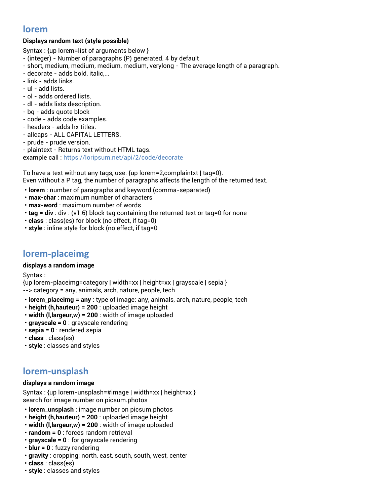# **lorem**

## **Displays random text (style possible)**

Syntax : {up lorem=list of arguments below }

- (integer) Number of paragraphs (P) generated. 4 by default
- short, medium, medium, medium, medium, verylong The average length of a paragraph.
- decorate adds bold, italic,...
- link adds links.
- ul add lists.
- ol adds ordered lists.
- dl adds lists description.
- bq adds quote block
- code adds code examples.
- headers adds hx titles.
- allcaps ALL CAPITAL LETTERS.
- prude prude version.
- plaintext Returns text without HTML tags.

example call [: https://loripsum.net/api/2/code/decorate](https://loripsum.net/api/2/code/decorate)

To have a text without any tags, use: {up lorem=2,complaintxt | tag=0}. Even without a P tag, the number of paragraphs affects the length of the returned text.

- **lorem** : number of paragraphs and keyword (comma-separated)
- **max-char** : maximum number of characters
- **max-word** : maximum number of words
- **tag = div** : div : (v1.6) block tag containing the returned text or tag=0 for none
- **class** : class(es) for block (no effect, if tag=0)
- **style** : inline style for block (no effect, if tag=0

# **lorem-placeimg**

#### **displays a random image**

Syntax :

{up lorem-placeimg=category | width=xx | height=xx | grayscale | sepia } --> category = any, animals, arch, nature, people, tech

- **lorem\_placeimg = any** : type of image: any, animals, arch, nature, people, tech
- **height (h,hauteur) = 200** : uploaded image height
- **width (l,largeur,w) = 200** : width of image uploaded
- **grayscale = 0** : grayscale rendering
- **sepia = 0** : rendered sepia
- **class** : class(es)
- **style** : classes and styles

# **lorem-unsplash**

#### **displays a random image**

Syntax : {up lorem-unsplash=#image | width=xx | height=xx } search for image number on picsum.photos

- **lorem\_unsplash** : image number on picsum.photos
- **height (h,hauteur) = 200** : uploaded image height
- **width (l,largeur,w) = 200** : width of image uploaded
- **random = 0** : forces random retrieval
- **grayscale = 0** : for grayscale rendering
- **blur = 0** : fuzzy rendering
- **gravity** : cropping: north, east, south, south, west, center
- **class** : class(es)
- **style** : classes and styles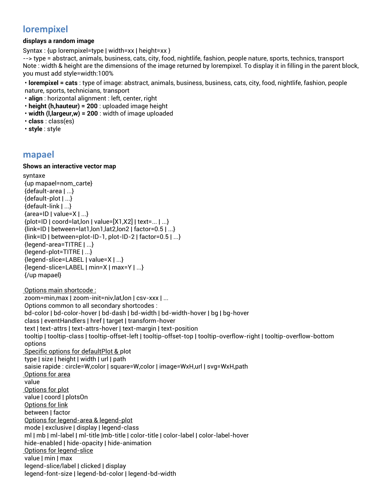# **lorempixel**

#### **displays a random image**

Syntax : {up lorempixel=type | width=xx | height=xx }

--> type = abstract, animals, business, cats, city, food, nightlife, fashion, people nature, sports, technics, transport Note : width & height are the dimensions of the image returned by lorempixel. To display it in filling in the parent block, you must add style=width:100%

• **lorempixel = cats** : type of image: abstract, animals, business, business, cats, city, food, nightlife, fashion, people nature, sports, technicians, transport

- **align** : horizontal alignment : left, center, right
- **height (h,hauteur) = 200** : uploaded image height
- **width (l,largeur,w) = 200** : width of image uploaded
- **class** : class(es)
- **style** : style

### **mapael**

#### **Shows an interactive vector map**

syntaxe {up mapael=nom\_carte} {default-area | ...} {default-plot | ...} {default-link | ...} {area=ID | value=X | ...} {plot=ID | coord=lat,lon | value=[X1,X2] | text=... | ...} {link=ID | between=lat1,lon1,lat2,lon2 | factor=0.5 | ...} {link=ID | between=plot-ID-1, plot-ID-2 | factor=0.5 | ...} {legend-area=TITRE | ...} {legend-plot=TITRE | ...} {legend-slice=LABEL | value=X | ...} {legend-slice=LABEL | min=X | max=Y | ...} {/up mapael} Options main shortcode : zoom=min,max | zoom-init=niv,lat,lon | csv-xxx | ... Options common to all secondary shortcodes : bd-color | bd-color-hover | bd-dash | bd-width | bd-width-hover | bg | bg-hover class | eventHandlers | href | target | transform-hover text | text-attrs | text-attrs-hover | text-margin | text-position tooltip | tooltip-class | tooltip-offset-left | tooltip-offset-top | tooltip-overflow-right | tooltip-overflow-bottom options Specific options for defaultPlot & plot type | size | height | width | url | path saisie rapide : circle=W,color | square=W,color | image=WxH,url | svg=WxH,path Options for area value Options for plot value | coord | plotsOn Options for link between | factor Options for legend-area & legend-plot mode | exclusive | display | legend-class ml | mb | ml-label | ml-title |mb-title | color-title | color-label | color-label-hover hide-enabled | hide-opacity | hide-animation Options for legend-slice value | min | max legend-slice/label | clicked | display legend-font-size | legend-bd-color | legend-bd-width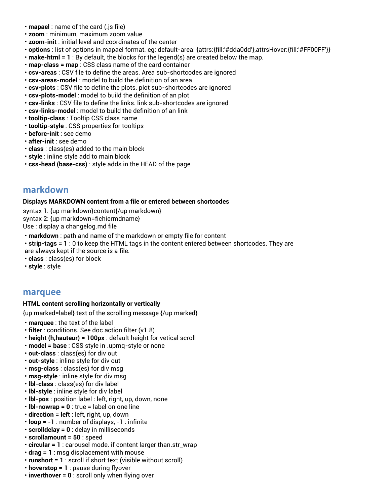- **mapael** : name of the card (.js file)
- **zoom** : minimum, maximum zoom value
- **zoom-init** : initial level and coordinates of the center
- **options** : list of options in mapael format. eg: default-area: {attrs:{fill:'#dda0dd'},attrsHover:{fill:'#FF00FF'}}
- **make-html = 1** : By default, the blocks for the legend(s) are created below the map.
- **map-class = map** : CSS class name of the card container
- **csv-areas** : CSV file to define the areas. Area sub-shortcodes are ignored
- **csv-areas-model** : model to build the definition of an area
- **csv-plots** : CSV file to define the plots. plot sub-shortcodes are ignored
- **csv-plots-model** : model to build the definition of an plot
- **csv-links** : CSV file to define the links. link sub-shortcodes are ignored
- **csv-links-model** : model to build the definition of an link
- **tooltip-class** : Tooltip CSS class name
- **tooltip-style** : CSS properties for tooltips
- **before-init** : see demo
- **after-init** : see demo
- **class** : class(es) added to the main block
- **style** : inline style add to main block
- **css-head (base-css)** : style adds in the HEAD of the page

## **markdown**

#### **Displays MARKDOWN content from a file or entered between shortcodes**

syntax 1: {up markdown}content{/up markdown} syntax 2: {up markdown=fichiermdname} Use : display a changelog.md file

- **markdown** : path and name of the markdown or empty file for content
- **strip-tags = 1** : 0 to keep the HTML tags in the content entered between shortcodes. They are
- are always kept if the source is a file.
- **class** : class(es) for block
- **style** : style

## **marquee**

### **HTML content scrolling horizontally or vertically**

{up marked=label} text of the scrolling message {/up marked}

- **marquee** : the text of the label
- **filter** : conditions. See doc action filter (v1.8)
- **height (h,hauteur) = 100px** : default height for vetical scroll
- **model = base** : CSS style in .upmq-style or none
- **out-class** : class(es) for div out
- **out-style** : inline style for div out
- **msg-class** : class(es) for div msg
- **msg-style** : inline style for div msg
- **lbl-class** : class(es) for div label
- **lbl-style** : inline style for div label
- **lbl-pos** : position label : left, right, up, down, none
- **lbl-nowrap = 0** : true = label on one line
- **direction = left** : left, right, up, down
- **loop = -1** : number of displays, -1 : infinite
- **scrolldelay = 0** : delay in milliseconds
- **scrollamount = 50** : speed
- **circular = 1** : carousel mode. if content larger than.str\_wrap
- **drag = 1** : msg displacement with mouse
- **runshort = 1** : scroll if short text (visible without scroll)
- **hoverstop = 1** : pause during flyover
- **inverthover = 0** : scroll only when flying over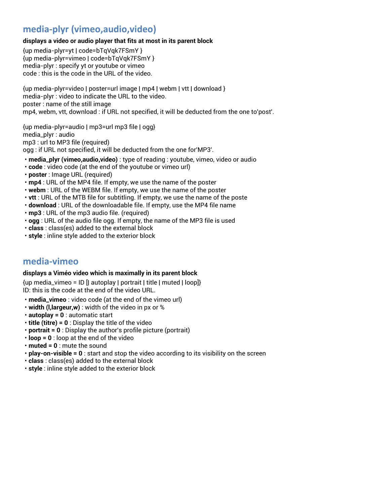# **media-plyr (vimeo,audio,video)**

#### **displays a video or audio player that fits at most in its parent block**

{up media-plyr=yt | code=bTqVqk7FSmY } {up media-plyr=vimeo | code=bTqVqk7FSmY } media-plyr : specify yt or youtube or vimeo code : this is the code in the URL of the video.

{up media-plyr=video | poster=url image | mp4 | webm | vtt | download } media-plyr : video to indicate the URL to the video. poster : name of the still image mp4, webm, vtt, download : if URL not specified, it will be deducted from the one to'post'.

{up media-plyr=audio | mp3=url mp3 file | ogg} media\_plyr : audio

mp3 : url to MP3 file (required)

ogg : if URL not specified, it will be deducted from the one for'MP3'.

- **media\_plyr (vimeo,audio,video)** : type of reading : youtube, vimeo, video or audio
- **code** : video code (at the end of the youtube or vimeo url)
- **poster** : Image URL (required)
- **mp4** : URL of the MP4 file. If empty, we use the name of the poster
- **webm** : URL of the WEBM file. If empty, we use the name of the poster
- **vtt** : URL of the MTB file for subtitling. If empty, we use the name of the poste
- **download** : URL of the downloadable file. If empty, use the MP4 file name
- **mp3** : URL of the mp3 audio file. (required)
- **ogg** : URL of the audio file ogg. If empty, the name of the MP3 file is used
- **class** : class(es) added to the external block
- **style** : inline style added to the exterior block

# **media-vimeo**

#### **displays a Viméo video which is maximally in its parent block**

 ${up media\_vimeo = ID}$  | autoplay | portrait | title | muted | loop]} ID: this is the code at the end of the video URL.

- **media\_vimeo** : video code (at the end of the vimeo url)
- **width (l,largeur,w)** : width of the video in px or %
- **autoplay = 0** : automatic start
- **title (titre) = 0** : Display the title of the video
- **portrait = 0** : Display the author's profile picture (portrait)
- **loop = 0** : loop at the end of the video
- **muted = 0** : mute the sound
- **play-on-visible = 0** : start and stop the video according to its visibility on the screen
- **class** : class(es) added to the external block
- **style** : inline style added to the exterior block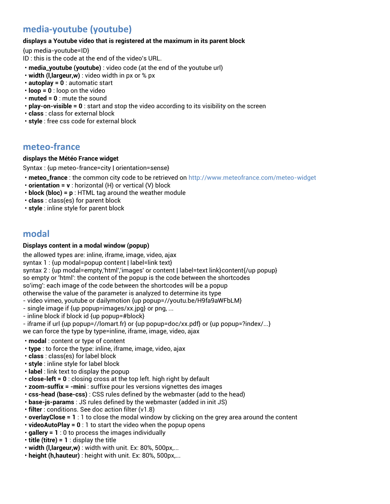# **media-youtube (youtube)**

#### **displays a Youtube video that is registered at the maximum in its parent block**

{up media-youtube=ID}

- ID : this is the code at the end of the video's URL.
- **media\_youtube (youtube)** : video code (at the end of the youtube url)
- **width (l,largeur,w)** : video width in px or % px
- **autoplay = 0** : automatic start
- **loop = 0** : loop on the video
- **muted = 0** : mute the sound
- **play-on-visible = 0** : start and stop the video according to its visibility on the screen
- **class** : class for external block
- **style** : free css code for external block

## **meteo-france**

#### **displays the Météo France widget**

Syntax : {up meteo-france=city | orientation=sense}

- **meteo\_france** : the common city code to be retrieved on<http://www.meteofrance.com/meteo-widget>
- **orientation = v** : horizontal (H) or vertical (V) block
- **block (bloc) = p** : HTML tag around the weather module
- **class** : class(es) for parent block
- **style** : inline style for parent block

## **modal**

### **Displays content in a modal window (popup)**

the allowed types are: inline, iframe, image, video, ajax

syntax 1 : {up modal=popup content | label=link text}

syntax 2 : {up modal=empty,'html','images' or content | label=text link}content{/up popup} so empty or 'html': the content of the popup is the code between the shortcodes so'img': each image of the code between the shortcodes will be a popup otherwise the value of the parameter is analyzed to determine its type

- video vimeo, youtube or dailymotion {up popup=//youtu.be/H9fa9aWFbLM}

- single image if {up popup=images/xx.jpg} or png, ...
- inline block if block id {up popup=#block}
- iframe if url {up popup=//lomart.fr} or {up popup=doc/xx.pdf} or {up popup=?index/...} we can force the type by type=inline, iframe, image, video, ajax
- **modal** : content or type of content
- **type** : to force the type: inline, iframe, image, video, ajax
- **class** : class(es) for label block
- **style** : inline style for label block
- **label** : link text to display the popup
- **close-left = 0** : closing cross at the top left. high right by default
- **zoom-suffix = -mini** : suffixe pour les versions vignettes des images
- **css-head (base-css)** : CSS rules defined by the webmaster (add to the head)
- **base-js-params** : JS rules defined by the webmaster (added in init JS)
- **filter** : conditions. See doc action filter (v1.8)
- **overlayClose = 1** : 1 to close the modal window by clicking on the grey area around the content
- **videoAutoPlay = 0** : 1 to start the video when the popup opens
- **gallery = 1** : 0 to process the images individually
- **title (titre) = 1** : display the title
- **width (l,largeur,w)** : width with unit. Ex: 80%, 500px,...
- **height (h,hauteur)** : height with unit. Ex: 80%, 500px,...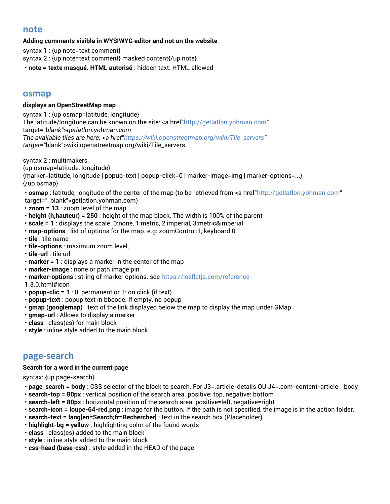## **note**

#### **Adding comments visible in WYSIWYG editor and not on the website**

syntax 1 : {up note=text comment}

syntax 2 : {up note=text comment} masked content{/up note}

• **note = texte masqué. HTML autorisé** : hidden text. HTML allowed

## **osmap**

#### **displays an OpenStreetMap map**

syntax 1 : {up osmap=latitude, longitude} The latitude/longitude can be known on the site: <a href["http://getlatlon.yohman.com"](http://getlatlon.yohman.com/) target="*blank">getlatlon.yohman.com The available tiles are here: <a href["https://wiki.openstreetmap.org/wiki/Tile\\_servers"](https://wiki.openstreetmap.org/wiki/Tile_servers) target="*blank">wiki.openstreetmap.org/wiki/Tile\_servers

syntax 2 : multimakers {up osmap=latitude, longitude} {marker=latitude, longitude | popup-text | popup-click=0 | marker-image=img | marker-options=...} {/up osmap}

• **osmap** : latitude, longitude of the center of the map (to be retrieved from <a href["http://getlatlon.yohman.com"](http://getlatlon.yohman.com/) target="\_blank">getlatlon.yohman.com)

- **zoom = 13** : zoom level of the map
- **height (h,hauteur) = 250** : height of the map block. The width is 100% of the parent
- **scale = 1** : displays the scale. 0:none, 1:metric, 2:imperial, 3:metric&imperial
- **map-options** : list of options for the map. e.g: zoomControl:1, keyboard:0
- **tile** : tile name
- **tile-options** : maximum zoom level,...
- **tile-url** : tile url
- **marker = 1** : displays a marker in the center of the map
- **marker-image** : none or path image pin
- **marker-options** : string of marker options. se[e https://leafletjs.com/reference-](https://leafletjs.com/reference-)
- 1.3.0.html#icon
- **popup-clic = 1** : 0: permanent or 1: on click (if text)
- **popup-text** : popup text in bbcode. If empty, no popup
- **gmap (googlemap)** : text of the link displayed below the map to display the map under GMap
- **gmap-url** : Allows to display a marker
- **class** : class(es) for main block
- **style** : inline style added to the main block

## **page-search**

#### **Search for a word in the current page**

syntax: {up page-search}

- **page\_search = body** : CSS selector of the block to search. For J3=.article-details OU J4=.com-content-article\_\_body
- **search-top = 80px** : vertical position of the search area. positive: top, negative: bottom
- **search-left = 80px** : horizontal position of the search area. positive=left, negative=right
- **search-icon = loupe-64-red.png** : image for the button. If the path is not specified, the image is in the action folder.
- **search-text = lang[en=Search;fr=Rechercher]** : text in the search box (Placeholder)
- **highlight-bg = yellow** : highlighting color of the found words
- **class** : class(es) added to the main block
- **style** : inline style added to the main block
- **css-head (base-css)** : style added in the HEAD of the page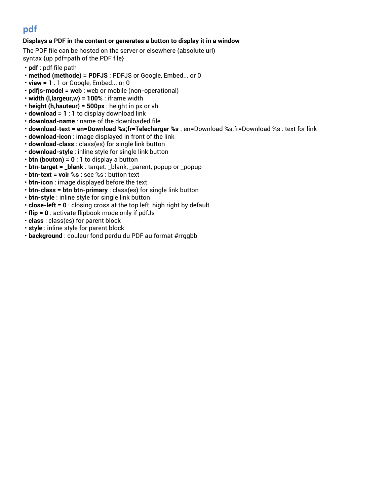# **pdf**

#### **Displays a PDF in the content or generates a button to display it in a window**

The PDF file can be hosted on the server or elsewhere (absolute url) syntax {up pdf=path of the PDF file}

- **pdf** : pdf file path
- **method (methode) = PDFJS** : PDFJS or Google, Embed... or 0
- **view = 1** : 1 or Google, Embed... or 0
- **pdfjs-model = web** : web or mobile (non-operational)
- **width (l,largeur,w) = 100%** : iframe width
- **height (h,hauteur) = 500px** : height in px or vh
- **download = 1** : 1 to display download link
- **download-name** : name of the downloaded file
- **download-text = en=Download %s;fr=Telecharger %s** : en=Download %s;fr=Download %s : text for link
- **download-icon** : image displayed in front of the link
- **download-class** : class(es) for single link button
- **download-style** : inline style for single link button
- **btn (bouton) = 0** : 1 to display a button
- **btn-target = \_blank** : target: \_blank, \_parent, popup or \_popup
- **btn-text = voir %s** : see %s : button text
- **btn-icon** : image displayed before the text
- **btn-class = btn btn-primary** : class(es) for single link button
- **btn-style** : inline style for single link button
- **close-left = 0** : closing cross at the top left. high right by default
- **flip = 0** : activate flipbook mode only if pdfJs
- **class** : class(es) for parent block
- **style** : inline style for parent block
- **background** : couleur fond perdu du PDF au format #rrggbb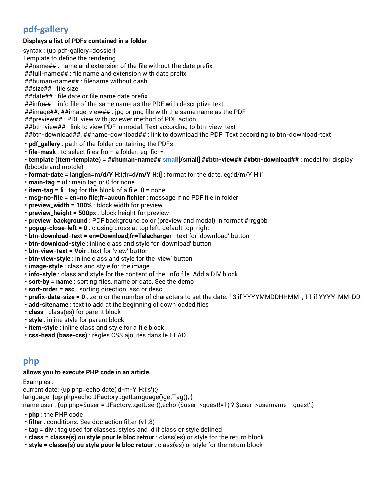# **pdf-gallery**

### **Displays a list of PDFs contained in a folder**

syntax : {up pdf-gallery=dossier} Template to define the rendering ##name## : name and extension of the file without the date prefix ##full-name## : file name and extension with date prefix ##human-name## : filename without dash ##size## : file size ##date## : file date or file name date prefix ##info## : .info file of the same name as the PDF with descriptive text ##image##, ##image-view## : jpg or png file with the same name as the PDF ##preview## : PDF view with jsviewer method of PDF action ##btn-view## : link to view PDF in modal. Text according to btn-view-text ##btn-download##, ##name-download## : link to download the PDF. Text according to btn-download-text • **pdf\_gallery** : path of the folder containing the PDFs • **file-mask** : to select files from a folder. eg: fic-\* • **template (item-template) = ##human-name## small[/small] ##btn-view## ##btn-download##** : model for display (bbcode and motcle)

- **format-date = lang[en=m/d/Y H:i;fr=d/m/Y H:i]** : format for the date. eg:'d/m/Y H:i'
- **main-tag = ul** : main tag or 0 for none
- **item-tag = li** : tag for the block of a file. 0 = none
- **msg-no-file = en=no file;fr=aucun fichier** : message if no PDF file in folder
- **preview\_width = 100%** : block width for preview
- **preview\_height = 500px** : block height for preview
- **preview\_background** : PDF background color (preview and modal) in format #rrggbb
- **popup-close-left = 0** : closing cross at top left. default top-right
- **btn-download-text = en=Download;fr=Telecharger** : text for 'download' button
- **btn-download-style** : inline class and style for 'download' button
- **btn-view-text = Voir** : text for 'view' button
- **btn-view-style** : inline class and style for the 'view' button
- **image-style** : class and style for the image
- **info-style** : class and style for the content of the .info file. Add a DIV block
- **sort-by = name** : sorting files. name or date. See the demo
- **sort-order = asc** : sorting direction. asc or desc
- **prefix-date-size = 0** : zero or the number of characters to set the date. 13 if YYYYMMDDHHMM-, 11 if YYYY-MM-DD-
- **add-sitename** : text to add at the beginning of downloaded files
- **class** : class(es) for parent block
- **style** : inline style for parent block
- **item-style** : inline class and style for a file block
- **css-head (base-css)** : règles CSS ajoutés dans le HEAD

## **php**

#### **allows you to execute PHP code in an article.**

Examples :

current date: {up php=echo date('d-m-Y H:i:s');} language: {up php=echo JFactory::getLanguage()getTag(); } name user : {up php=\$user = JFactory::getUser();echo (\$user->guest!=1) ? \$user->username : 'guest';}

- **php** : the PHP code
- **filter** : conditions. See doc action filter (v1.8)
- **tag = div** : tag used for classes, styles and id if class or style defined
- **class = classe(s) ou style pour le bloc retour** : class(es) or style for the return block
- **style = classe(s) ou style pour le bloc retour** : class(es) or style for the return block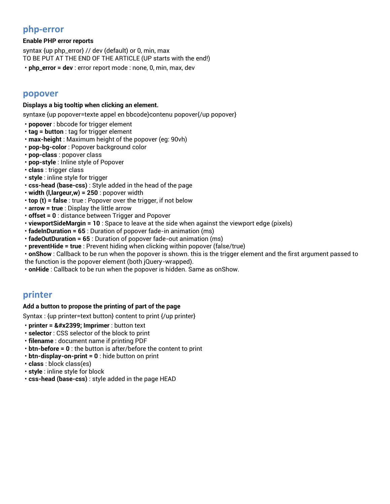## **php-error**

#### **Enable PHP error reports**

syntax {up php\_error} // dev (default) or 0, min, max TO BE PUT AT THE END OF THE ARTICLE (UP starts with the end!)

• **php\_error = dev** : error report mode : none, 0, min, max, dev

## **popover**

#### **Displays a big tooltip when clicking an element.**

syntaxe {up popover=texte appel en bbcode}contenu popover{/up popover}

- **popover** : bbcode for trigger element
- **tag = button** : tag for trigger element
- **max-height** : Maximum height of the popover (eg: 90vh)
- **pop-bg-color** : Popover background color
- **pop-class** : popover class
- **pop-style** : Inline style of Popover
- **class** : trigger class
- **style** : inline style for trigger
- **css-head (base-css)** : Style added in the head of the page
- **width (l,largeur,w) = 250** : popover width
- **top (t) = false** : true : Popover over the trigger, if not below
- **arrow = true** : Display the little arrow
- **offset = 0** : distance between Trigger and Popover
- **viewportSideMargin = 10** : Space to leave at the side when against the viewport edge (pixels)
- **fadeInDuration = 65** : Duration of popover fade-in animation (ms)
- **fadeOutDuration = 65** : Duration of popover fade-out animation (ms)
- **preventHide = true** : Prevent hiding when clicking within popover (false/true)
- **onShow** : Callback to be run when the popover is shown. this is the trigger element and the first argument passed to
- the function is the popover element (both jQuery-wrapped).
- **onHide** : Callback to be run when the popover is hidden. Same as onShow.

## **printer**

### **Add a button to propose the printing of part of the page**

Syntax : {up printer=text button} content to print {/up printer}

- **printer = ⎙ Imprimer** : button text
- **selector** : CSS selector of the block to print
- **filename** : document name if printing PDF
- **btn-before = 0** : the button is after/before the content to print
- **btn-display-on-print = 0** : hide button on print
- **class** : block class(es)
- **style** : inline style for block
- **css-head (base-css)** : style added in the page HEAD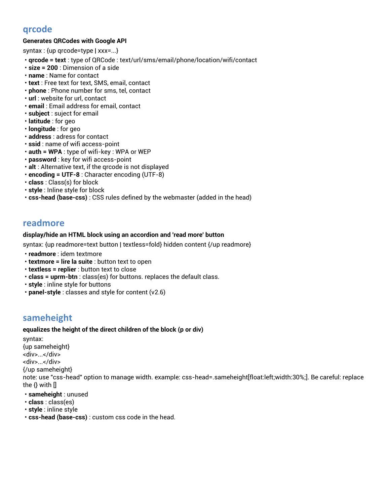# **qrcode**

### **Generates QRCodes with Google API**

syntax : {up qrcode=type | xxx=...}

- **qrcode = text** : type of QRCode : text/url/sms/email/phone/location/wifi/contact
- **size = 200** : Dimension of a side
- **name** : Name for contact
- **text** : Free text for text, SMS, email, contact
- **phone** : Phone number for sms, tel, contact
- **url** : website for url, contact
- **email** : Email address for email, contact
- **subject** : suject for email
- **latitude** : for geo
- **longitude** : for geo
- **address** : adress for contact
- **ssid** : name of wifi access-point
- **auth = WPA** : type of wifi-key : WPA or WEP
- **password** : key for wifi access-point
- **alt** : Alternative text, if the qrcode is not displayed
- **encoding = UTF-8** : Character encoding (UTF-8)
- **class** : Class(s) for block
- **style** : Inline style for block
- **css-head (base-css)** : CSS rules defined by the webmaster (added in the head)

## **readmore**

#### **display/hide an HTML block using an accordion and 'read more' button**

syntax: {up readmore=text button | textless=fold} hidden content {/up readmore}

- **readmore** : idem textmore
- **textmore = lire la suite** : button text to open
- **textless = replier** : button text to close
- **class = uprm-btn** : class(es) for buttons. replaces the default class.
- **style** : inline style for buttons
- **panel-style** : classes and style for content (v2.6)

# **sameheight**

#### **equalizes the height of the direct children of the block (p or div)**

syntax: {up sameheight} <div>...</div> <div>...</div> {/up sameheight} note: use "css-head" option to manage width. example: css-head=.sameheight[float:left;width:30%;]. Be careful: replace the  $\{\}$  with  $[]$ 

- **sameheight** : unused
- **class** : class(es)
- **style** : inline style
- **css-head (base-css)** : custom css code in the head.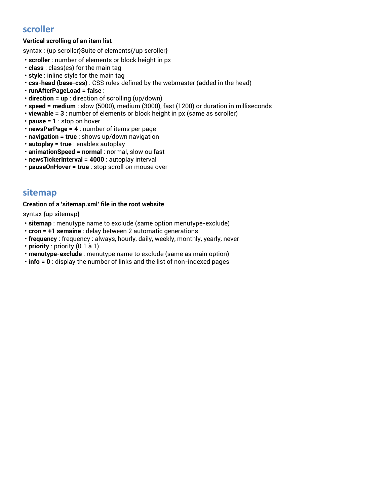# **scroller**

## **Vertical scrolling of an item list**

syntax : {up scroller}Suite of elements{/up scroller}

- **scroller** : number of elements or block height in px
- **class** : class(es) for the main tag
- **style** : inline style for the main tag
- **css-head (base-css)** : CSS rules defined by the webmaster (added in the head)
- **runAfterPageLoad = false** :
- **direction = up** : direction of scrolling (up/down)
- **speed = medium** : slow (5000), medium (3000), fast (1200) or duration in milliseconds
- **viewable = 3** : number of elements or block height in px (same as scroller)
- **pause = 1** : stop on hover
- **newsPerPage = 4** : number of items per page
- **navigation = true** : shows up/down navigation
- **autoplay = true** : enables autoplay
- **animationSpeed = normal** : normal, slow ou fast
- **newsTickerInterval = 4000** : autoplay interval
- **pauseOnHover = true** : stop scroll on mouse over

## **sitemap**

#### **Creation of a 'sitemap.xml' file in the root website**

syntax {up sitemap}

- **sitemap** : menutype name to exclude (same option menutype-exclude)
- **cron = +1 semaine** : delay between 2 automatic generations
- **frequency** : frequency : always, hourly, daily, weekly, monthly, yearly, never
- **priority** : priority (0.1 à 1)
- **menutype-exclude** : menutype name to exclude (same as main option)
- **info = 0** : display the number of links and the list of non-indexed pages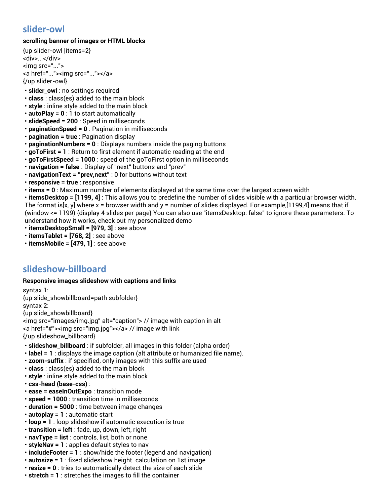# **slider-owl**

### **scrolling banner of images or HTML blocks**

{up slider-owl |items=2} <div>...</div> <img src="..."> <a href="..."><img src="..."></a> {/up slider-owl}

- **slider\_owl** : no settings required
- **class** : class(es) added to the main block
- **style** : inline style added to the main block
- **autoPlay = 0** : 1 to start automatically
- **slideSpeed = 200** : Speed in milliseconds
- **paginationSpeed = 0** : Pagination in milliseconds
- **pagination = true** : Pagination display
- **paginationNumbers = 0** : Displays numbers inside the paging buttons
- **goToFirst = 1** : Return to first element if automatic reading at the end
- **goToFirstSpeed = 1000** : speed of the goToFirst option in milliseconds
- **navigation = false** : Display of "next" buttons and "prev"
- **navigationText = "prev,next"** : 0 for buttons without text
- **responsive = true** : responsive
- **items = 0** : Maximum number of elements displayed at the same time over the largest screen width

• **itemsDesktop = [1199, 4]** : This allows you to predefine the number of slides visible with a particular browser width. The format is[x, y] where x = browser width and y = number of slides displayed. For example,[1199,4] means that if (window <= 1199) {display 4 slides per page} You can also use "itemsDesktop: false" to ignore these parameters. To understand how it works, check out my personalized demo

- **itemsDesktopSmall = [979, 3]** : see above
- **itemsTablet = [768, 2]** : see above
- **itemsMobile = [479, 1]** : see above

# **slideshow-billboard**

### **Responsive images slideshow with captions and links**

syntax 1: {up slide\_showbillboard=path subfolder} syntax 2: {up slide\_showbillboard} <img src="images/img.jpg" alt="caption"> // image with caption in alt <a href="#"><img src="img.jpg"></a> // image with link {/up slideshow\_billboard}

• **slideshow\_billboard** : if subfolder, all images in this folder (alpha order)

- **label = 1** : displays the image caption (alt attribute or humanized file name).
- **zoom-suffix** : if specified, only images with this suffix are used
- **class** : class(es) added to the main block
- **style** : inline style added to the main block
- **css-head (base-css)** :
- **ease = easeInOutExpo** : transition mode
- **speed = 1000** : transition time in milliseconds
- **duration = 5000** : time between image changes
- **autoplay = 1** : automatic start
- **loop = 1** : loop slideshow if automatic execution is true
- **transition = left** : fade, up, down, left, right
- **navType = list** : controls, list, both or none
- **styleNav = 1** : applies default styles to nav
- **includeFooter = 1** : show/hide the footer (legend and navigation)
- **autosize = 1** : fixed slideshow height. calculation on 1st image
- **resize = 0** : tries to automatically detect the size of each slide
- **stretch = 1** : stretches the images to fill the container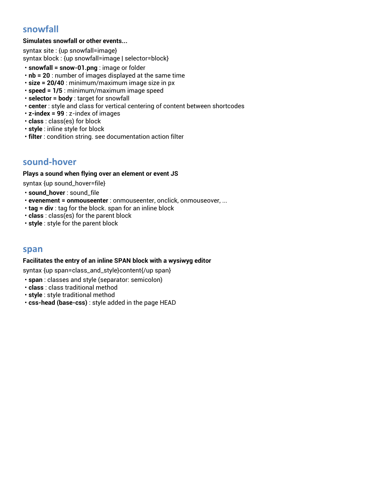# **snowfall**

#### **Simulates snowfall or other events...**

syntax site : {up snowfall=image} syntax block : {up snowfall=image | selector=block}

- **snowfall = snow-01.png** : image or folder
- **nb = 20** : number of images displayed at the same time
- **size = 20/40** : minimum/maximum image size in px
- **speed = 1/5** : minimum/maximum image speed
- **selector = body** : target for snowfall
- **center** : style and class for vertical centering of content between shortcodes
- **z-index = 99** : z-index of images
- **class** : class(es) for block
- **style** : inline style for block
- **filter** : condition string. see documentation action filter

## **sound-hover**

#### **Plays a sound when flying over an element or event JS**

syntax {up sound\_hover=file}

- **sound\_hover** : sound\_file
- **evenement = onmouseenter** : onmouseenter, onclick, onmouseover, ...
- **tag = div** : tag for the block. span for an inline block
- **class** : class(es) for the parent block
- **style** : style for the parent block

### **span**

#### **Facilitates the entry of an inline SPAN block with a wysiwyg editor**

syntax {up span=class\_and\_style}content{/up span}

- **span** : classes and style (separator: semicolon)
- **class** : class traditional method
- **style** : style traditional method
- **css-head (base-css)** : style added in the page HEAD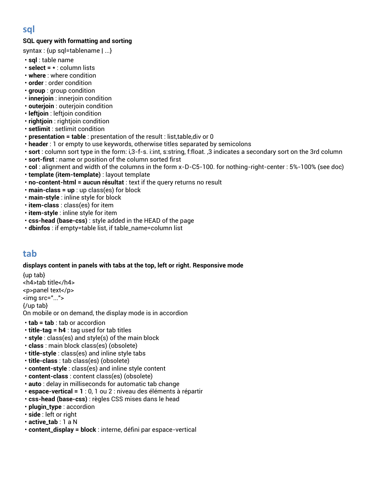## **SQL query with formatting and sorting**

- syntax : {up sql=tablename | ...}
- **sql** : table name
- **select = \*** : column lists
- **where** : where condition
- **order** : order condition
- **group** : group condition
- **innerjoin** : innerjoin condition
- **outerjoin** : outerjoin condition
- **leftjoin** : leftjoin condition
- **rightjoin** : rightjoin condition
- **setlimit** : setlimit condition
- **presentation = table** : presentation of the result : list,table,div or 0
- **header** : 1 or empty to use keywords, otherwise titles separated by semicolons
- **sort** : column sort type in the form: i,3-f-s. i:int, s:string, f:float. ,3 indicates a secondary sort on the 3rd column
- **sort-first** : name or position of the column sorted first
- **col** : alignment and width of the columns in the form x-D-C5-100. for nothing-right-center : 5%-100% (see doc)
- **template (item-template)** : layout template
- **no-content-html = aucun résultat** : text if the query returns no result
- **main-class = up** : up class(es) for block
- **main-style** : inline style for block
- **item-class** : class(es) for item
- **item-style** : inline style for item
- **css-head (base-css)** : style added in the HEAD of the page
- **dbinfos** : if empty=table list, if table\_name=column list

## **tab**

### **displays content in panels with tabs at the top, left or right. Responsive mode**

{up tab} <h4>tab title</h4> <p>panel text</p> <img src="..."> {/up tab} On mobile or on demand, the display mode is in accordion

- **tab = tab** : tab or accordion
- **title-tag = h4** : tag used for tab titles
- **style** : class(es) and style(s) of the main block
- **class** : main block class(es) (obsolete)
- **title-style** : class(es) and inline style tabs
- **title-class** : tab class(es) (obsolete)
- **content-style** : class(es) and inline style content
- **content-class** : content class(es) (obsolete)
- **auto** : delay in milliseconds for automatic tab change
- **espace-vertical = 1** : 0, 1 ou 2 : niveau des éléments à répartir
- **css-head (base-css)** : règles CSS mises dans le head
- **plugin\_type** : accordion
- **side** : left or right
- **active\_tab** : 1 a N
- **content\_display = block** : interne, défini par espace-vertical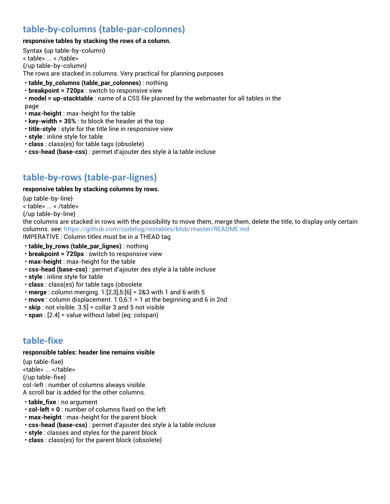# **table-by-columns (table-par-colonnes)**

#### **responsive tables by stacking the rows of a column.**

Syntax {up table-by-column} < table> ... < /table> {/up table-by-column} The rows are stacked in columns. Very practical for planning purposes

- **table\_by\_columns (table\_par\_colonnes)** : nothing
- **breakpoint = 720px** : switch to responsive view
- **model = up-stacktable** : name of a CSS file planned by the webmaster for all tables in the page
- **max-height** : max-height for the table
- **key-width = 35%** : to block the header at the top
- **title-style** : style for the title line in responsive view
- **style** : inline style for table
- **class** : class(es) for table tags (obsolete)
- **css-head (base-css)** : permet d'ajouter des style à la table incluse

# **table-by-rows (table-par-lignes)**

### **responsive tables by stacking columns by rows.**

{up table-by-line} < table> ... < /table> {/up table-by-line} the columns are stacked in rows with the possibility to move them, merge them, delete the title, to display only certain columns. see:<https://github.com/codefog/restables/blob/master/README.md> IMPERATIVE : Column titles must be in a THEAD tag

- **table\_by\_rows (table\_par\_lignes)** : nothing
- **breakpoint = 720px** : switch to responsive view
- **max-height** : max-height for the table
- **css-head (base-css)** : permet d'ajouter des style à la table incluse
- **style** : inline style for table
- **class** : class(es) for table tags (obsolete
- **merge** : column merging. 1:[2,3],5:[6] = 2&3 with 1 and 6 with 5
- **move** : column displacement. 1:0,6:1 = 1 at the beginning and 6 in 2nd
- **skip** : not visible. 3.5] = collar 3 and 5 not visible
- **span** : [2.4] = value without label (eq: colspan)

# **table-fixe**

#### **responsible tables: header line remains visible**

{up table-fixe} <table> ... </table> {/up table-fixe} col-left : number of columns always visible. A scroll bar is added for the other columns.

- **table\_fixe** : no argument
- **col-left = 0** : number of columns fixed on the left
- **max-height** : max-height for the parent block
- **css-head (base-css)** : permet d'ajouter des style à la table incluse
- **style** : classes and styles for the parent block
- **class** : class(es) for the parent block (obsolete)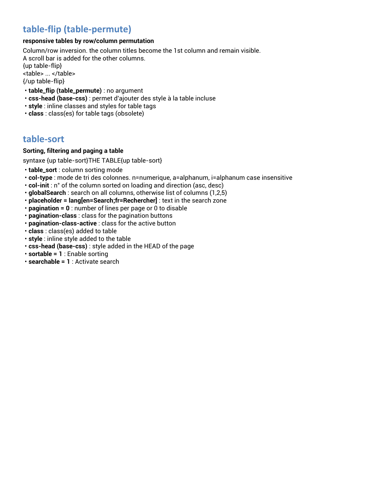# **table-flip (table-permute)**

#### **responsive tables by row/column permutation**

Column/row inversion. the column titles become the 1st column and remain visible. A scroll bar is added for the other columns. {up table-flip} <table> ... </table> {/up table-flip}

- **table\_flip (table\_permute)** : no argument
- **css-head (base-css)** : permet d'ajouter des style à la table incluse
- **style** : inline classes and styles for table tags
- **class** : class(es) for table tags (obsolete)

# **table-sort**

#### **Sorting, filtering and paging a table**

syntaxe {up table-sort}THE TABLE{up table-sort}

- **table\_sort** : column sorting mode
- **col-type** : mode de tri des colonnes. n=numerique, a=alphanum, i=alphanum case insensitive
- **col-init** : n° of the column sorted on loading and direction (asc, desc)
- **globalSearch** : search on all columns, otherwise list of columns (1,2,5)
- **placeholder = lang[en=Search;fr=Rechercher]** : text in the search zone
- **pagination = 0** : number of lines per page or 0 to disable
- **pagination-class** : class for the pagination buttons
- **pagination-class-active** : class for the active button
- **class** : class(es) added to table
- **style** : inline style added to the table
- **css-head (base-css)** : style added in the HEAD of the page
- **sortable = 1** : Enable sorting
- **searchable = 1** : Activate search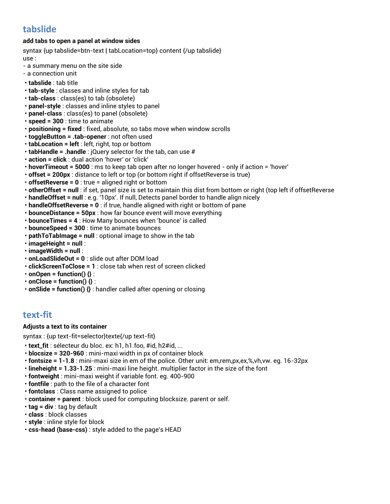# **tabslide**

### **add tabs to open a panel at window sides**

syntax {up tabslide=btn-text | tabLocation=top} content {/up tabslide} use :

- a summary menu on the site side
- a connection unit
- **tabslide** : tab title
- **tab-style** : classes and inline styles for tab
- **tab-class** : class(es) to tab (obsolete)
- **panel-style** : classes and inline styles to panel
- **panel-class** : class(es) to panel (obsolete)
- **speed = 300** : time to animate
- **positioning = fixed** : fixed, absolute, so tabs move when window scrolls
- **toggleButton = .tab-opener** : not often used
- **tabLocation = left** : left, right, top or bottom
- **tabHandle = .handle** : jQuery selector for the tab, can use #
- **action = click** : dual action 'hover' or 'click'
- **hoverTimeout = 5000** : ms to keep tab open after no longer hovered only if action = 'hover'
- **offset = 200px** : distance to left or top (or bottom right if offsetReverse is true)
- **offsetReverse = 0** : true = aligned right or bottom
- **otherOffset = null** : if set, panel size is set to maintain this dist from bottom or right (top left if offsetReverse
- **handleOffset = null** : e.g. '10px'. If null, Detects panel border to handle align nicely
- **handleOffsetReverse = 0** : if true, handle aligned with right or bottom of pane
- **bounceDistance = 50px** : how far bounce event will move everything
- **bounceTimes = 4** : How Many bounces when 'bounce' is called
- **bounceSpeed = 300** : time to animate bounces
- **pathToTabImage = null** : optional image to show in the tab
- **imageHeight = null** :
- **imageWidth = null** :
- **onLoadSlideOut = 0** : slide out after DOM load
- **clickScreenToClose = 1** : close tab when rest of screen clicked
- $\cdot$  onOpen = function()  $\{\}$  :
- $\cdot$  onClose = function()  $\{\}$  :
- **onSlide = function() {}** : handler called after opening or closing

## **text-fit**

#### **Adjusts a text to its container**

syntax : {up text-fit=selector}texte{/up text-fit}

- **text\_fit** : sélecteur du bloc. ex: h1, h1.foo, #id, h2#id, ...
- **blocsize = 320-960** : mini-maxi width in px of container block
- **fontsize = 1-1.8** : mini-maxi size in em of the police. Other unit: em,rem,px,ex,%,vh,vw. eg. 16-32px
- **lineheight = 1.33-1.25** : mini-maxi line height. multiplier factor in the size of the font
- **fontweight** : mini-maxi weight if variable font. eg. 400-900
- **fontfile** : path to the file of a character font
- **fontclass** : Class name assigned to police
- **container = parent** : block used for computing blocksize. parent or self.
- **tag = div** : tag by default
- **class** : block classes
- **style** : inline style for block
- **css-head (base-css)** : style added to the page's HEAD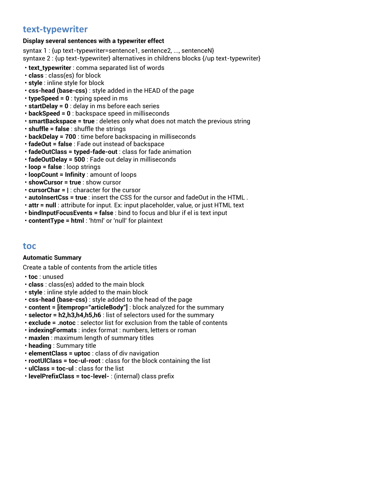# **text-typewriter**

#### **Display several sentences with a typewriter effect**

syntax 1 : {up text-typewriter=sentence1, sentence2, ..., sentenceN} syntaxe 2 : {up text-typewriter} alternatives in childrens blocks {/up text-typewriter}

- **text\_typewriter** : comma separated list of words
- **class** : class(es) for block
- **style** : inline style for block
- **css-head (base-css)** : style added in the HEAD of the page
- **typeSpeed = 0** : typing speed in ms
- **startDelay = 0** : delay in ms before each series
- **backSpeed = 0** : backspace speed in milliseconds
- **smartBackspace = true** : deletes only what does not match the previous string
- **shuffle = false** : shuffle the strings
- **backDelay = 700** : time before backspacing in milliseconds
- **fadeOut = false** : Fade out instead of backspace
- **fadeOutClass = typed-fade-out** : class for fade animation
- **fadeOutDelay = 500** : Fade out delay in milliseconds
- **loop = false** : loop strings
- **loopCount = Infinity** : amount of loops
- **showCursor = true** : show cursor
- **cursorChar = |** : character for the cursor
- **autoInsertCss = true** : insert the CSS for the cursor and fadeOut in the HTML .
- **attr = null** : attribute for input. Ex: input placeholder, value, or just HTML text
- **bindInputFocusEvents = false** : bind to focus and blur if el is text input
- **contentType = html** : 'html' or 'null' for plaintext

## **toc**

#### **Automatic Summary**

Create a table of contents from the article titles

- **toc** : unused
- **class** : class(es) added to the main block
- **style** : inline style added to the main block
- **css-head (base-css)** : style added to the head of the page
- **content = [itemprop="articleBody"]** : block analyzed for the summary
- **selector = h2,h3,h4,h5,h6** : list of selectors used for the summary
- **exclude = .notoc** : selector list for exclusion from the table of contents
- **indexingFormats** : index format : numbers, letters or roman
- **maxlen** : maximum length of summary titles
- **heading** : Summary title
- **elementClass = uptoc** : class of div navigation
- **rootUlClass = toc-ul-root** : class for the block containing the list
- **ulClass = toc-ul** : class for the list
- **levelPrefixClass = toc-level-** : (internal) class prefix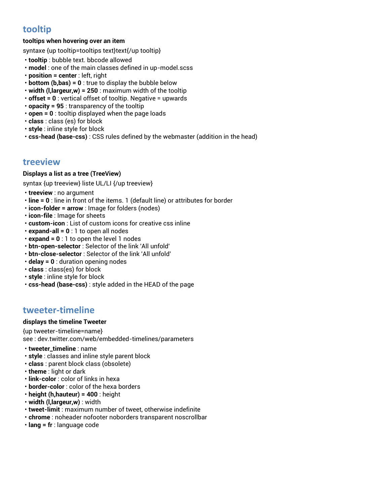# **tooltip**

### **tooltips when hovering over an item**

syntaxe {up tooltip=tooltips text}text{/up tooltip}

- **tooltip** : bubble text. bbcode allowed
- **model** : one of the main classes defined in up-model.scss
- **position = center** : left, right
- **bottom (b,bas) = 0** : true to display the bubble below
- **width (l,largeur,w) = 250** : maximum width of the tooltip
- **offset = 0** : vertical offset of tooltip. Negative = upwards
- **opacity = 95** : transparency of the tooltip
- **open = 0** : tooltip displayed when the page loads
- **class** : class (es) for block
- **style** : inline style for block
- **css-head (base-css)** : CSS rules defined by the webmaster (addition in the head)

## **treeview**

#### **Displays a list as a tree (TreeView)**

syntax {up treeview} liste UL/LI {/up treeview}

- **treeview** : no argument
- **line = 0** : line in front of the items. 1 (default line) or attributes for border
- **icon-folder = arrow** : Image for folders (nodes)
- **icon-file** : Image for sheets
- **custom-icon** : List of custom icons for creative css inline
- **expand-all = 0** : 1 to open all nodes
- **expand = 0** : 1 to open the level 1 nodes
- **btn-open-selector** : Selector of the link 'All unfold'
- **btn-close-selector** : Selector of the link 'All unfold'
- **delay = 0** : duration opening nodes
- **class** : class(es) for block
- **style** : inline style for block
- **css-head (base-css)** : style added in the HEAD of the page

## **tweeter-timeline**

#### **displays the timeline Tweeter**

{up tweeter-timeline=name} see : dev.twitter.com/web/embedded-timelines/parameters

- **tweeter\_timeline** : name
- **style** : classes and inline style parent block
- **class** : parent block class (obsolete)
- **theme** : light or dark
- **link-color** : color of links in hexa
- **border-color** : color of the hexa borders
- **height (h,hauteur) = 400** : height
- **width (l,largeur,w)** : width
- **tweet-limit** : maximum number of tweet, otherwise indefinite
- **chrome** : noheader nofooter noborders transparent noscrollbar
- **lang = fr** : language code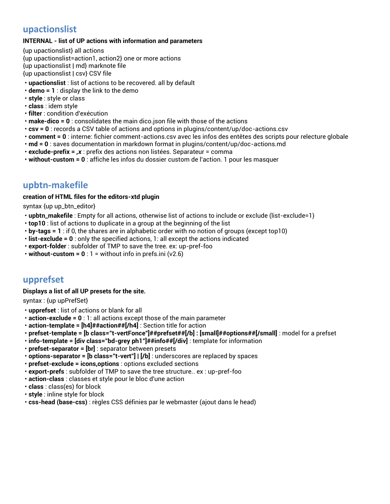## **upactionslist**

#### **INTERNAL - list of UP actions with information and parameters**

{up upactionslist} all actions {up upactionslist=action1, action2} one or more actions {up upactionslist | md} marknote file {up upactionslist | csv} CSV file

- **upactionslist** : list of actions to be recovered. all by default
- **demo = 1** : display the link to the demo
- **style** : style or class
- **class** : idem style
- **filter** : condition d'exécution
- **make-dico = 0** : consolidates the main dico.json file with those of the actions
- **csv = 0** : records a CSV table of actions and options in plugins/content/up/doc-actions.csv
- **comment = 0** : interne: fichier comment-actions.csv avec les infos des entêtes des scripts pour relecture globale
- **md = 0** : saves documentation in markdown format in plugins/content/up/doc-actions.md
- **exclude-prefix =** *,x* : prefix des actions non listées. Separateur = comma
- **without-custom = 0** : affiche les infos du dossier custom de l'action. 1 pour les masquer

## **upbtn-makefile**

#### **creation of HTML files for the editors-xtd plugin**

syntax {up up\_btn\_editor}

- **upbtn\_makefile** : Empty for all actions, otherwise list of actions to include or exclude (list-exclude=1)
- **top10** : list of actions to duplicate in a group at the beginning of the list
- **by-tags = 1** : if 0, the shares are in alphabetic order with no notion of groups (except top10)
- **list-exclude = 0** : only the specified actions, 1: all except the actions indicated
- **export-folder** : subfolder of TMP to save the tree. ex: up-pref-foo
- **without-custom = 0** : 1 = without info in prefs.ini (v2.6)

## **upprefset**

#### **Displays a list of all UP presets for the site.**

syntax : {up upPrefSet}

- **upprefset** : list of actions or blank for all
- **action-exclude = 0** : 1: all actions except those of the main parameter
- **action-template = [h4]##action##[/h4]** : Section title for action
- **prefset-template = [b class="t-vertFonce"]##prefset##[/b] : [small]##options##[/small]** : model for a prefset
- **info-template = [div class="bd-grey ph1"]##info##[/div]** : template for information
- **prefset-separator = [br]** : separator between presets
- **options-separator = [b class="t-vert"] | [/b]** : underscores are replaced by spaces
- **prefset-exclude = icons,options** : options excluded sections
- **export-prefs** : subfolder of TMP to save the tree structure.. ex : up-pref-foo
- **action-class** : classes et style pour le bloc d'une action
- **class** : class(es) for block
- **style** : inline style for block
- **css-head (base-css)** : règles CSS définies par le webmaster (ajout dans le head)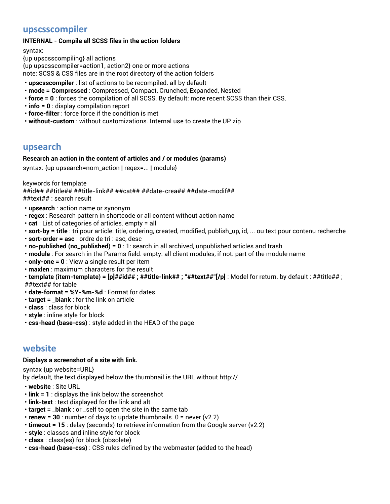## **upscsscompiler**

### **INTERNAL - Compile all SCSS files in the action folders**

syntax:

{up upscsscompiling} all actions {up upscsscompiler=action1, action2} one or more actions note: SCSS & CSS files are in the root directory of the action folders

- **upscsscompiler** : list of actions to be recompiled. all by default
- **mode = Compressed** : Compressed, Compact, Crunched, Expanded, Nested
- **force = 0** : forces the compilation of all SCSS. By default: more recent SCSS than their CSS.
- **info = 0** : display compilation report
- **force-filter** : force force if the condition is met
- **without-custom** : without customizations. Internal use to create the UP zip

## **upsearch**

#### **Research an action in the content of articles and / or modules (params)**

syntax: {up upsearch=nom\_action | regex=... | module}

keywords for template

##id## ##title## ##title-link## ##cat## ##date-crea## ##date-modif##

##text## : search result

- **upsearch** : action name or synonym
- **regex** : Research pattern in shortcode or all content without action name
- **cat** : List of categories of articles. empty = all
- **sort-by = title** : tri pour article: title, ordering, created, modified, publish\_up, id, ... ou text pour contenu recherche
- **sort-order = asc** : ordre de tri : asc, desc
- **no-published (no\_published) = 0** : 1: search in all archived, unpublished articles and trash
- **module** : For search in the Params field. empty: all client modules, if not: part of the module name
- **only-one = 0** : View a single result per item
- **maxlen** : maximum characters for the result
- **template (item-template) = [p]##id## ; ##title-link## ; "##text##"[/p]** : Model for return. by default : ##title## ; ##text## for table
- **date-format = %Y-%m-%d** : Format for dates
- **target = \_blank** : for the link on article
- **class** : class for block
- **style** : inline style for block
- **css-head (base-css)** : style added in the HEAD of the page

## **website**

### **Displays a screenshot of a site with link.**

syntax {up website=URL}

by default, the text displayed below the thumbnail is the URL without http://

- **website** : Site URL
- **link = 1** : displays the link below the screenshot
- **link-text** : text displayed for the link and alt
- **target = \_blank** : or \_self to open the site in the same tab
- **renew = 30** : number of days to update thumbnails. 0 = never (v2.2)
- **timeout = 15** : delay (seconds) to retrieve information from the Google server (v2.2)
- **style** : classes and inline style for block
- **class** : class(es) for block (obsolete)
- **css-head (base-css)** : CSS rules defined by the webmaster (added to the head)